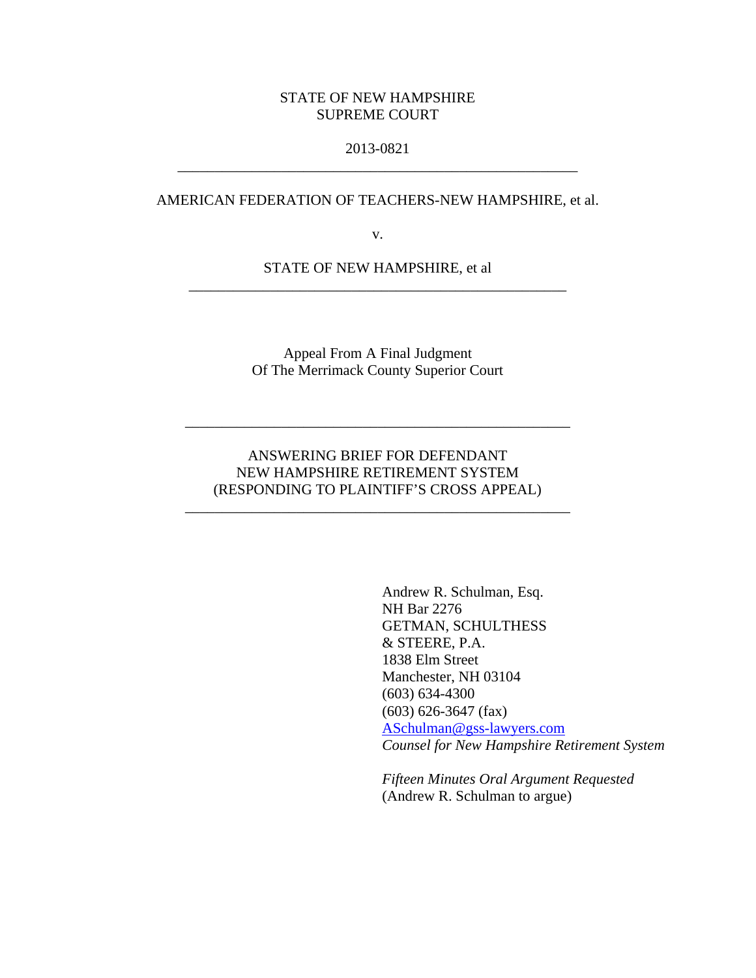### STATE OF NEW HAMPSHIRE SUPREME COURT

### 2013-0821 \_\_\_\_\_\_\_\_\_\_\_\_\_\_\_\_\_\_\_\_\_\_\_\_\_\_\_\_\_\_\_\_\_\_\_\_\_\_\_\_\_\_\_\_\_\_\_\_\_\_\_\_\_\_

#### AMERICAN FEDERATION OF TEACHERS-NEW HAMPSHIRE, et al.

v.

STATE OF NEW HAMPSHIRE, et al \_\_\_\_\_\_\_\_\_\_\_\_\_\_\_\_\_\_\_\_\_\_\_\_\_\_\_\_\_\_\_\_\_\_\_\_\_\_\_\_\_\_\_\_\_\_\_\_\_\_\_

> Appeal From A Final Judgment Of The Merrimack County Superior Court

# ANSWERING BRIEF FOR DEFENDANT NEW HAMPSHIRE RETIREMENT SYSTEM (RESPONDING TO PLAINTIFF'S CROSS APPEAL)

\_\_\_\_\_\_\_\_\_\_\_\_\_\_\_\_\_\_\_\_\_\_\_\_\_\_\_\_\_\_\_\_\_\_\_\_\_\_\_\_\_\_\_\_\_\_\_\_\_\_\_\_

\_\_\_\_\_\_\_\_\_\_\_\_\_\_\_\_\_\_\_\_\_\_\_\_\_\_\_\_\_\_\_\_\_\_\_\_\_\_\_\_\_\_\_\_\_\_\_\_\_\_\_\_

Andrew R. Schulman, Esq. NH Bar 2276 GETMAN, SCHULTHESS & STEERE, P.A. 1838 Elm Street Manchester, NH 03104 (603) 634-4300 (603) 626-3647 (fax) ASchulman@gss-lawyers.com *Counsel for New Hampshire Retirement System* 

*Fifteen Minutes Oral Argument Requested*  (Andrew R. Schulman to argue)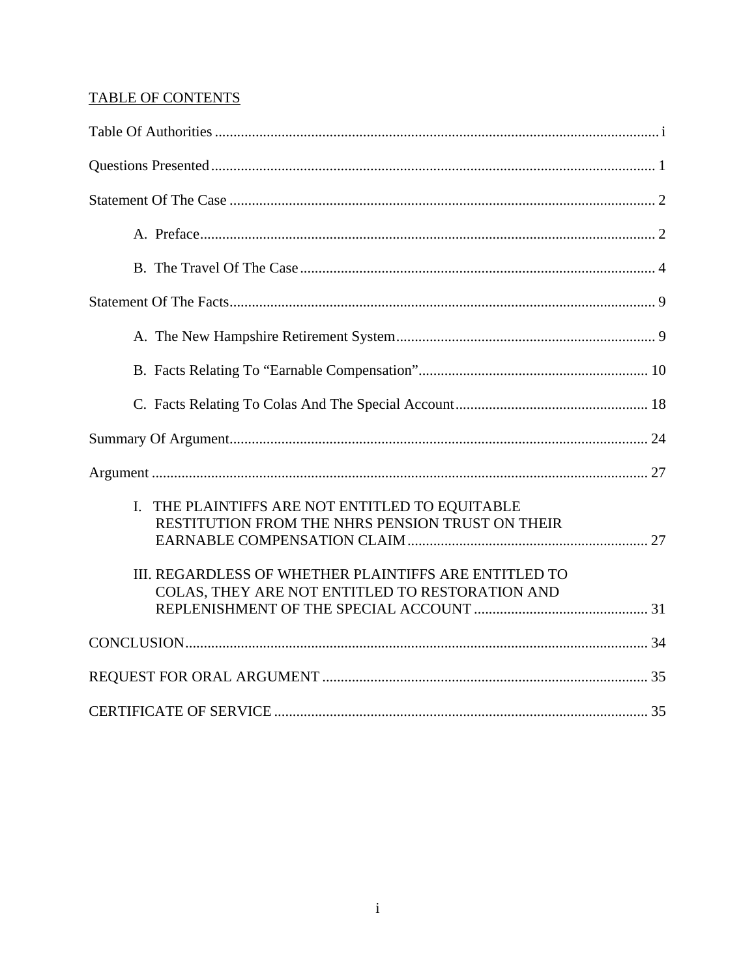# TABLE OF CONTENTS

| I. THE PLAINTIFFS ARE NOT ENTITLED TO EQUITABLE<br>RESTITUTION FROM THE NHRS PENSION TRUST ON THEIR<br>III. REGARDLESS OF WHETHER PLAINTIFFS ARE ENTITLED TO<br>COLAS, THEY ARE NOT ENTITLED TO RESTORATION AND |  |
|-----------------------------------------------------------------------------------------------------------------------------------------------------------------------------------------------------------------|--|
|                                                                                                                                                                                                                 |  |
|                                                                                                                                                                                                                 |  |
|                                                                                                                                                                                                                 |  |
|                                                                                                                                                                                                                 |  |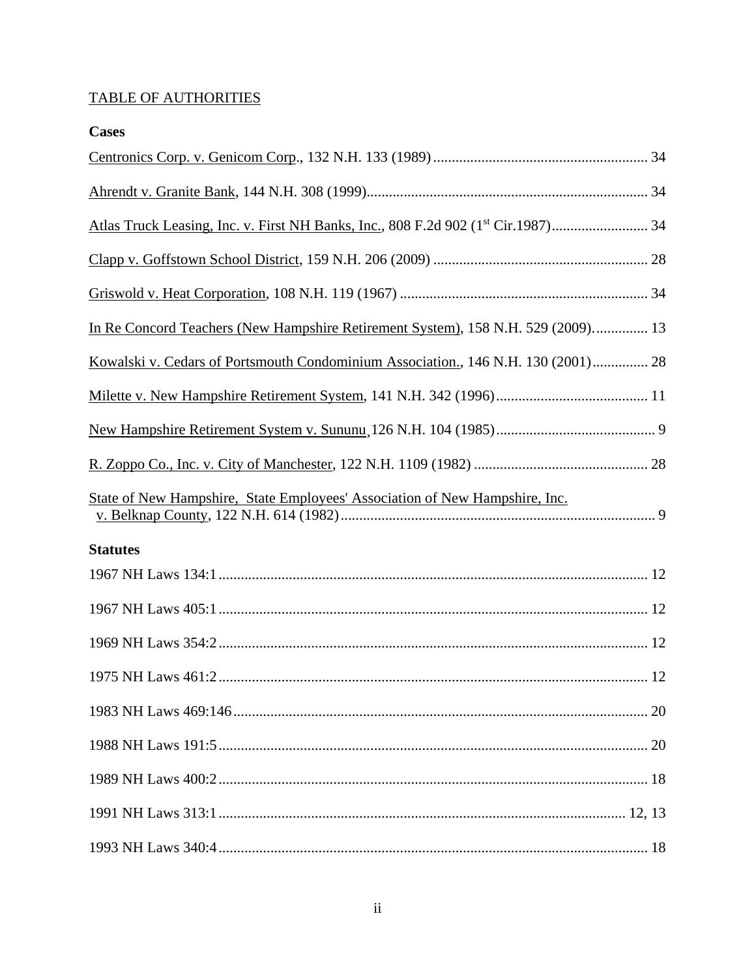# TABLE OF AUTHORITIES

| <b>Cases</b>                                                                      |  |
|-----------------------------------------------------------------------------------|--|
|                                                                                   |  |
|                                                                                   |  |
|                                                                                   |  |
|                                                                                   |  |
|                                                                                   |  |
| In Re Concord Teachers (New Hampshire Retirement System), 158 N.H. 529 (2009) 13  |  |
| Kowalski v. Cedars of Portsmouth Condominium Association., 146 N.H. 130 (2001) 28 |  |
|                                                                                   |  |
|                                                                                   |  |
|                                                                                   |  |
| State of New Hampshire, State Employees' Association of New Hampshire, Inc.       |  |
| <b>Statutes</b>                                                                   |  |
|                                                                                   |  |
|                                                                                   |  |
|                                                                                   |  |
|                                                                                   |  |
|                                                                                   |  |
|                                                                                   |  |
|                                                                                   |  |
|                                                                                   |  |
|                                                                                   |  |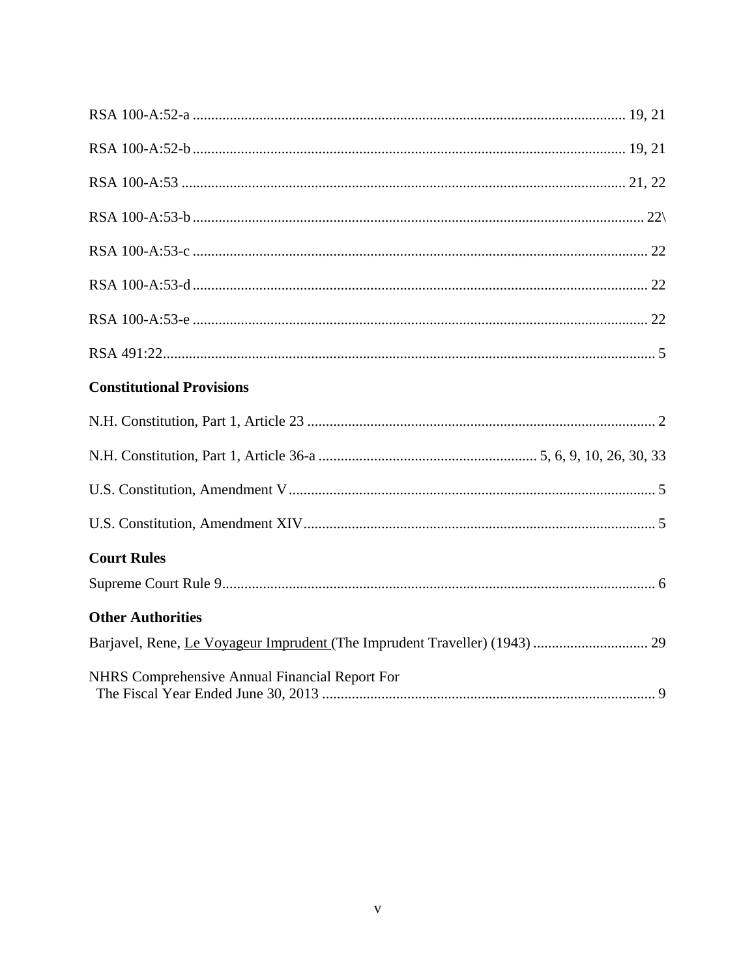| <b>Constitutional Provisions</b>                      |
|-------------------------------------------------------|
|                                                       |
|                                                       |
|                                                       |
|                                                       |
| <b>Court Rules</b>                                    |
|                                                       |
| <b>Other Authorities</b>                              |
|                                                       |
| <b>NHRS</b> Comprehensive Annual Financial Report For |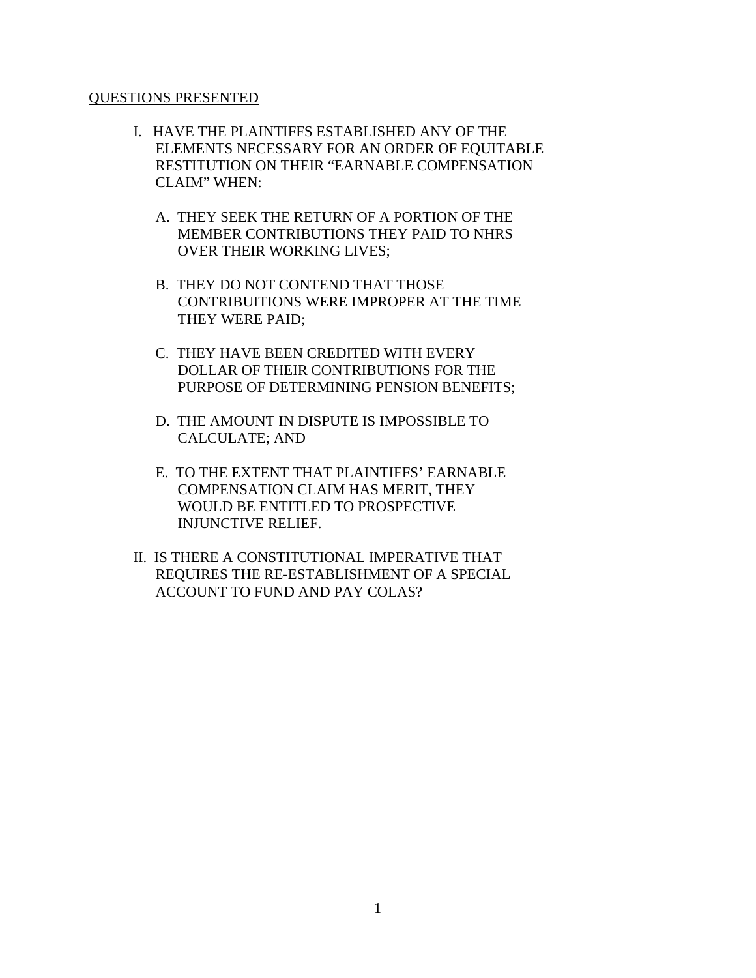#### QUESTIONS PRESENTED

- I. HAVE THE PLAINTIFFS ESTABLISHED ANY OF THE ELEMENTS NECESSARY FOR AN ORDER OF EQUITABLE RESTITUTION ON THEIR "EARNABLE COMPENSATION CLAIM" WHEN:
	- A. THEY SEEK THE RETURN OF A PORTION OF THE MEMBER CONTRIBUTIONS THEY PAID TO NHRS OVER THEIR WORKING LIVES;
	- B. THEY DO NOT CONTEND THAT THOSE CONTRIBUITIONS WERE IMPROPER AT THE TIME THEY WERE PAID;
	- C. THEY HAVE BEEN CREDITED WITH EVERY DOLLAR OF THEIR CONTRIBUTIONS FOR THE PURPOSE OF DETERMINING PENSION BENEFITS;
	- D. THE AMOUNT IN DISPUTE IS IMPOSSIBLE TO CALCULATE; AND
	- E. TO THE EXTENT THAT PLAINTIFFS' EARNABLE COMPENSATION CLAIM HAS MERIT, THEY WOULD BE ENTITLED TO PROSPECTIVE INJUNCTIVE RELIEF.
- II. IS THERE A CONSTITUTIONAL IMPERATIVE THAT REQUIRES THE RE-ESTABLISHMENT OF A SPECIAL ACCOUNT TO FUND AND PAY COLAS?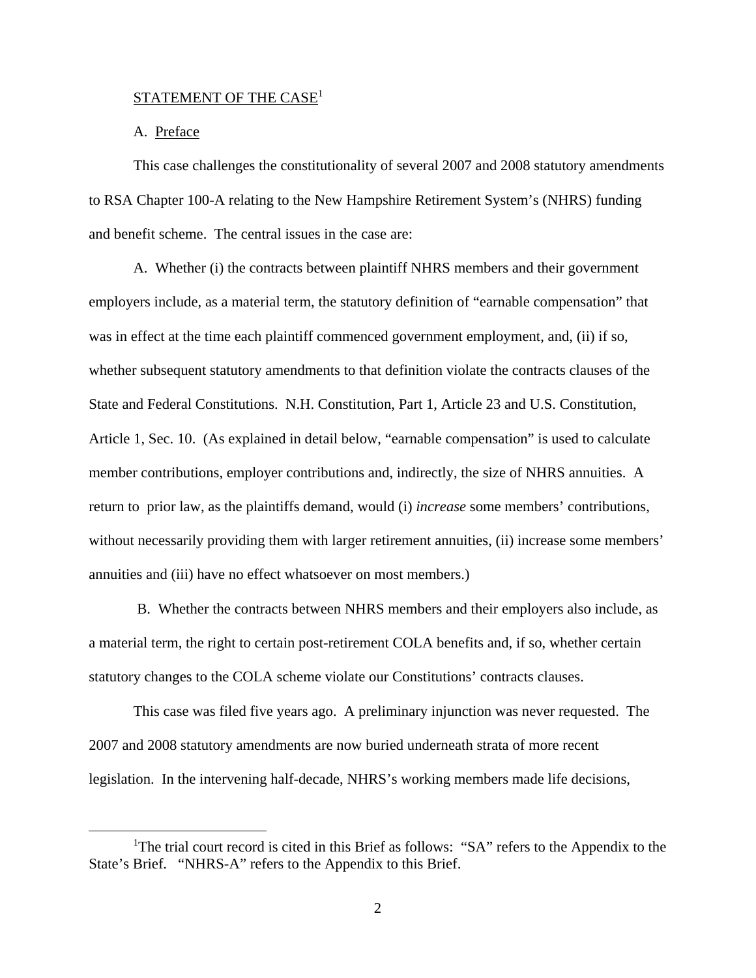## $\text{STATEMENT OF THE CASE}^1$

#### A. Preface

This case challenges the constitutionality of several 2007 and 2008 statutory amendments to RSA Chapter 100-A relating to the New Hampshire Retirement System's (NHRS) funding and benefit scheme. The central issues in the case are:

A. Whether (i) the contracts between plaintiff NHRS members and their government employers include, as a material term, the statutory definition of "earnable compensation" that was in effect at the time each plaintiff commenced government employment, and, (ii) if so, whether subsequent statutory amendments to that definition violate the contracts clauses of the State and Federal Constitutions. N.H. Constitution, Part 1, Article 23 and U.S. Constitution, Article 1, Sec. 10. (As explained in detail below, "earnable compensation" is used to calculate member contributions, employer contributions and, indirectly, the size of NHRS annuities. A return to prior law, as the plaintiffs demand, would (i) *increase* some members' contributions, without necessarily providing them with larger retirement annuities, (ii) increase some members' annuities and (iii) have no effect whatsoever on most members.)

 B. Whether the contracts between NHRS members and their employers also include, as a material term, the right to certain post-retirement COLA benefits and, if so, whether certain statutory changes to the COLA scheme violate our Constitutions' contracts clauses.

This case was filed five years ago. A preliminary injunction was never requested. The 2007 and 2008 statutory amendments are now buried underneath strata of more recent legislation. In the intervening half-decade, NHRS's working members made life decisions,

 $\frac{1}{1}$ <sup>1</sup>The trial court record is cited in this Brief as follows: "SA" refers to the Appendix to the State's Brief. "NHRS-A" refers to the Appendix to this Brief.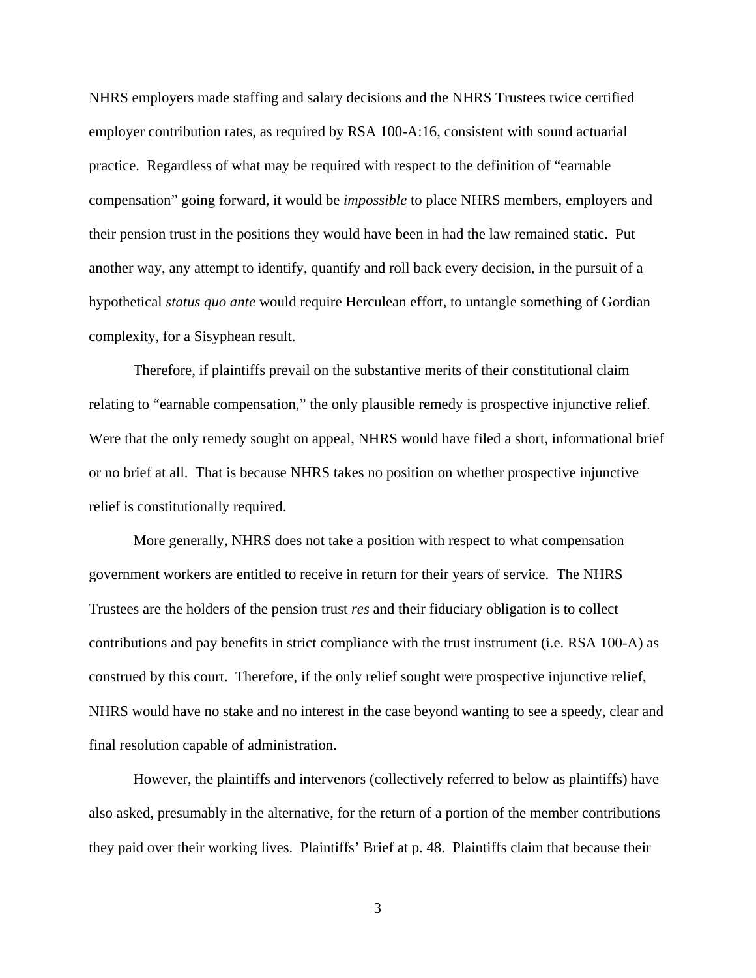NHRS employers made staffing and salary decisions and the NHRS Trustees twice certified employer contribution rates, as required by RSA 100-A:16, consistent with sound actuarial practice. Regardless of what may be required with respect to the definition of "earnable compensation" going forward, it would be *impossible* to place NHRS members, employers and their pension trust in the positions they would have been in had the law remained static. Put another way, any attempt to identify, quantify and roll back every decision, in the pursuit of a hypothetical *status quo ante* would require Herculean effort, to untangle something of Gordian complexity, for a Sisyphean result.

Therefore, if plaintiffs prevail on the substantive merits of their constitutional claim relating to "earnable compensation," the only plausible remedy is prospective injunctive relief. Were that the only remedy sought on appeal, NHRS would have filed a short, informational brief or no brief at all. That is because NHRS takes no position on whether prospective injunctive relief is constitutionally required.

More generally, NHRS does not take a position with respect to what compensation government workers are entitled to receive in return for their years of service. The NHRS Trustees are the holders of the pension trust *res* and their fiduciary obligation is to collect contributions and pay benefits in strict compliance with the trust instrument (i.e. RSA 100-A) as construed by this court. Therefore, if the only relief sought were prospective injunctive relief, NHRS would have no stake and no interest in the case beyond wanting to see a speedy, clear and final resolution capable of administration.

However, the plaintiffs and intervenors (collectively referred to below as plaintiffs) have also asked, presumably in the alternative, for the return of a portion of the member contributions they paid over their working lives. Plaintiffs' Brief at p. 48. Plaintiffs claim that because their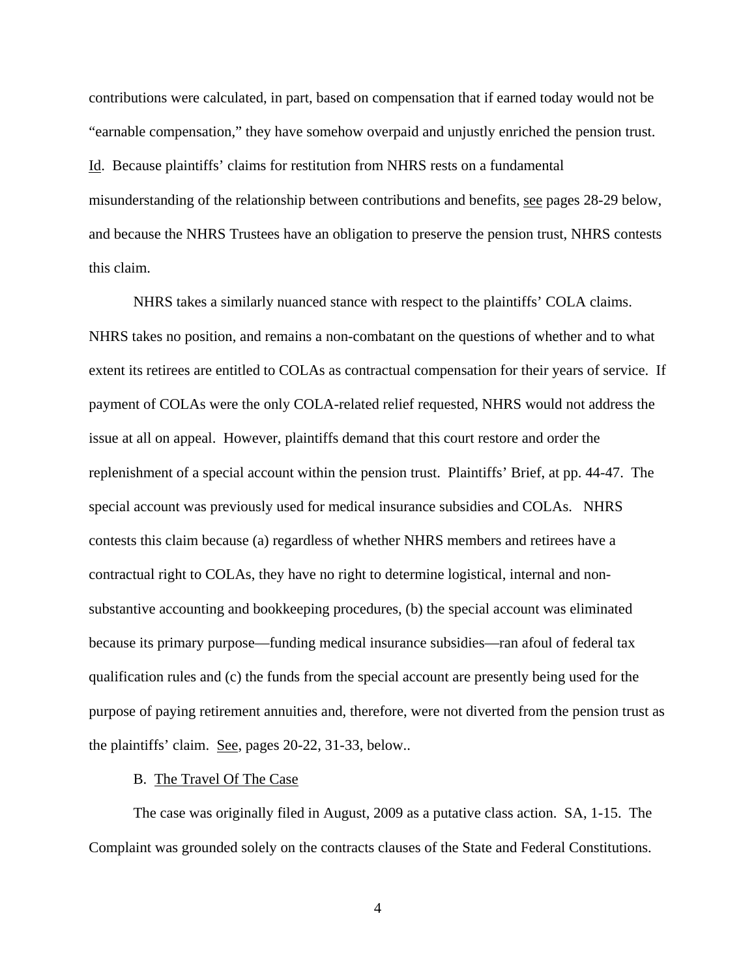contributions were calculated, in part, based on compensation that if earned today would not be "earnable compensation," they have somehow overpaid and unjustly enriched the pension trust. Id. Because plaintiffs' claims for restitution from NHRS rests on a fundamental misunderstanding of the relationship between contributions and benefits, see pages 28-29 below, and because the NHRS Trustees have an obligation to preserve the pension trust, NHRS contests this claim.

NHRS takes a similarly nuanced stance with respect to the plaintiffs' COLA claims. NHRS takes no position, and remains a non-combatant on the questions of whether and to what extent its retirees are entitled to COLAs as contractual compensation for their years of service. If payment of COLAs were the only COLA-related relief requested, NHRS would not address the issue at all on appeal. However, plaintiffs demand that this court restore and order the replenishment of a special account within the pension trust. Plaintiffs' Brief, at pp. 44-47. The special account was previously used for medical insurance subsidies and COLAs. NHRS contests this claim because (a) regardless of whether NHRS members and retirees have a contractual right to COLAs, they have no right to determine logistical, internal and nonsubstantive accounting and bookkeeping procedures, (b) the special account was eliminated because its primary purpose—funding medical insurance subsidies—ran afoul of federal tax qualification rules and (c) the funds from the special account are presently being used for the purpose of paying retirement annuities and, therefore, were not diverted from the pension trust as the plaintiffs' claim. See, pages 20-22, 31-33, below..

#### B. The Travel Of The Case

The case was originally filed in August, 2009 as a putative class action. SA, 1-15. The Complaint was grounded solely on the contracts clauses of the State and Federal Constitutions.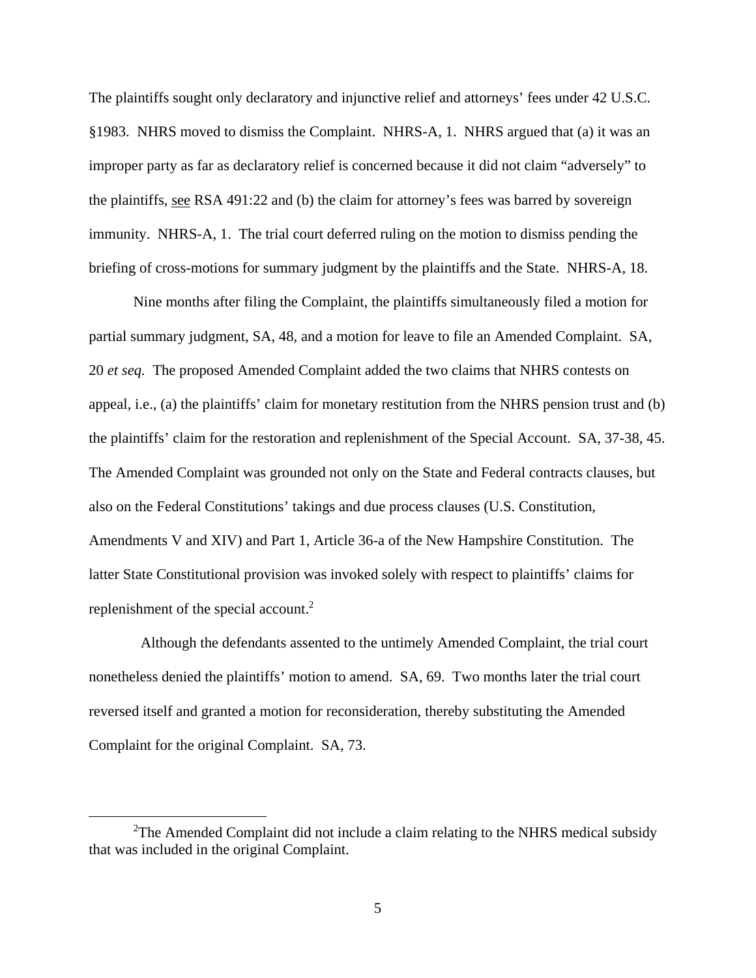The plaintiffs sought only declaratory and injunctive relief and attorneys' fees under 42 U.S.C. §1983. NHRS moved to dismiss the Complaint. NHRS-A, 1. NHRS argued that (a) it was an improper party as far as declaratory relief is concerned because it did not claim "adversely" to the plaintiffs, see RSA 491:22 and (b) the claim for attorney's fees was barred by sovereign immunity. NHRS-A, 1. The trial court deferred ruling on the motion to dismiss pending the briefing of cross-motions for summary judgment by the plaintiffs and the State. NHRS-A, 18.

Nine months after filing the Complaint, the plaintiffs simultaneously filed a motion for partial summary judgment, SA, 48, and a motion for leave to file an Amended Complaint. SA, 20 *et seq.* The proposed Amended Complaint added the two claims that NHRS contests on appeal, i.e., (a) the plaintiffs' claim for monetary restitution from the NHRS pension trust and (b) the plaintiffs' claim for the restoration and replenishment of the Special Account. SA, 37-38, 45. The Amended Complaint was grounded not only on the State and Federal contracts clauses, but also on the Federal Constitutions' takings and due process clauses (U.S. Constitution, Amendments V and XIV) and Part 1, Article 36-a of the New Hampshire Constitution. The latter State Constitutional provision was invoked solely with respect to plaintiffs' claims for replenishment of the special account.<sup>2</sup>

 Although the defendants assented to the untimely Amended Complaint, the trial court nonetheless denied the plaintiffs' motion to amend. SA, 69. Two months later the trial court reversed itself and granted a motion for reconsideration, thereby substituting the Amended Complaint for the original Complaint. SA, 73.

 <sup>2</sup>  $2$ The Amended Complaint did not include a claim relating to the NHRS medical subsidy that was included in the original Complaint.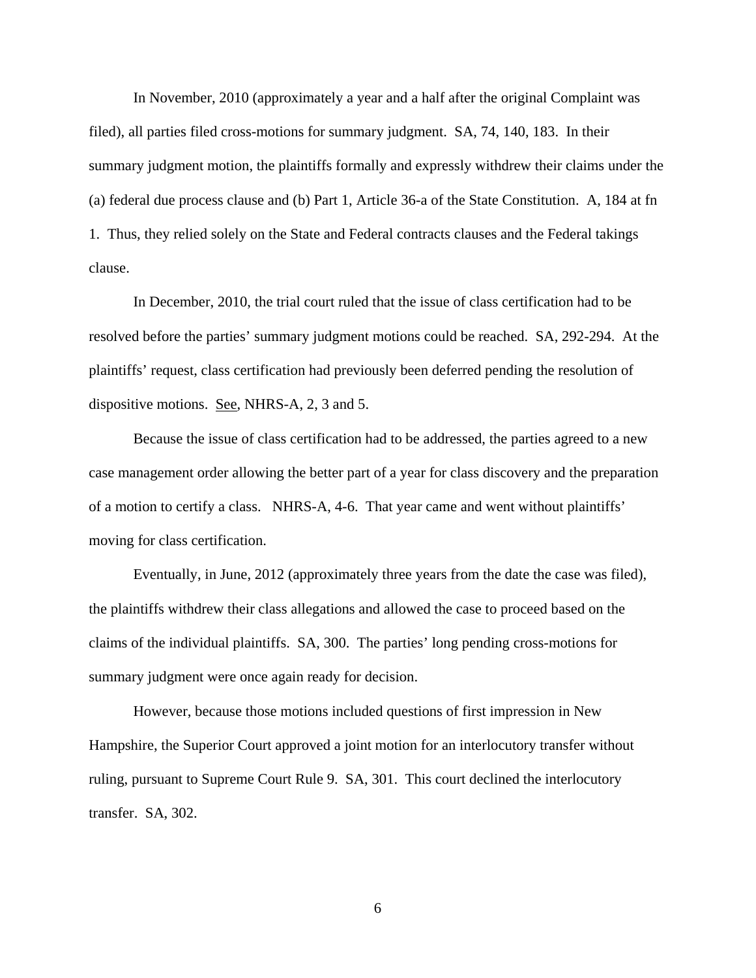In November, 2010 (approximately a year and a half after the original Complaint was filed), all parties filed cross-motions for summary judgment. SA, 74, 140, 183. In their summary judgment motion, the plaintiffs formally and expressly withdrew their claims under the (a) federal due process clause and (b) Part 1, Article 36-a of the State Constitution. A, 184 at fn 1. Thus, they relied solely on the State and Federal contracts clauses and the Federal takings clause.

In December, 2010, the trial court ruled that the issue of class certification had to be resolved before the parties' summary judgment motions could be reached. SA, 292-294. At the plaintiffs' request, class certification had previously been deferred pending the resolution of dispositive motions. See, NHRS-A, 2, 3 and 5.

Because the issue of class certification had to be addressed, the parties agreed to a new case management order allowing the better part of a year for class discovery and the preparation of a motion to certify a class. NHRS-A, 4-6. That year came and went without plaintiffs' moving for class certification.

Eventually, in June, 2012 (approximately three years from the date the case was filed), the plaintiffs withdrew their class allegations and allowed the case to proceed based on the claims of the individual plaintiffs. SA, 300. The parties' long pending cross-motions for summary judgment were once again ready for decision.

However, because those motions included questions of first impression in New Hampshire, the Superior Court approved a joint motion for an interlocutory transfer without ruling, pursuant to Supreme Court Rule 9. SA, 301. This court declined the interlocutory transfer. SA, 302.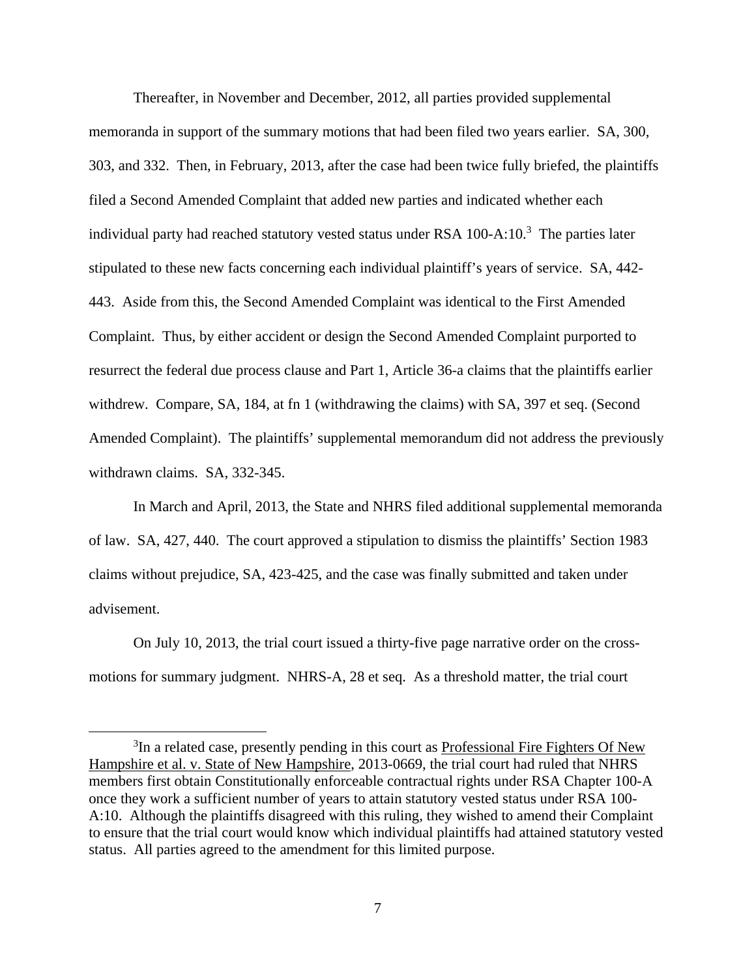Thereafter, in November and December, 2012, all parties provided supplemental memoranda in support of the summary motions that had been filed two years earlier. SA, 300, 303, and 332. Then, in February, 2013, after the case had been twice fully briefed, the plaintiffs filed a Second Amended Complaint that added new parties and indicated whether each individual party had reached statutory vested status under RSA  $100-A:10.^3$  The parties later stipulated to these new facts concerning each individual plaintiff's years of service. SA, 442- 443. Aside from this, the Second Amended Complaint was identical to the First Amended Complaint. Thus, by either accident or design the Second Amended Complaint purported to resurrect the federal due process clause and Part 1, Article 36-a claims that the plaintiffs earlier withdrew. Compare, SA, 184, at fn 1 (withdrawing the claims) with SA, 397 et seq. (Second Amended Complaint). The plaintiffs' supplemental memorandum did not address the previously withdrawn claims. SA, 332-345.

In March and April, 2013, the State and NHRS filed additional supplemental memoranda of law. SA, 427, 440. The court approved a stipulation to dismiss the plaintiffs' Section 1983 claims without prejudice, SA, 423-425, and the case was finally submitted and taken under advisement.

On July 10, 2013, the trial court issued a thirty-five page narrative order on the crossmotions for summary judgment. NHRS-A, 28 et seq. As a threshold matter, the trial court

 $\frac{1}{3}$ <sup>3</sup>In a related case, presently pending in this court as Professional Fire Fighters Of New Hampshire et al. v. State of New Hampshire, 2013-0669, the trial court had ruled that NHRS members first obtain Constitutionally enforceable contractual rights under RSA Chapter 100-A once they work a sufficient number of years to attain statutory vested status under RSA 100- A:10. Although the plaintiffs disagreed with this ruling, they wished to amend their Complaint to ensure that the trial court would know which individual plaintiffs had attained statutory vested status. All parties agreed to the amendment for this limited purpose.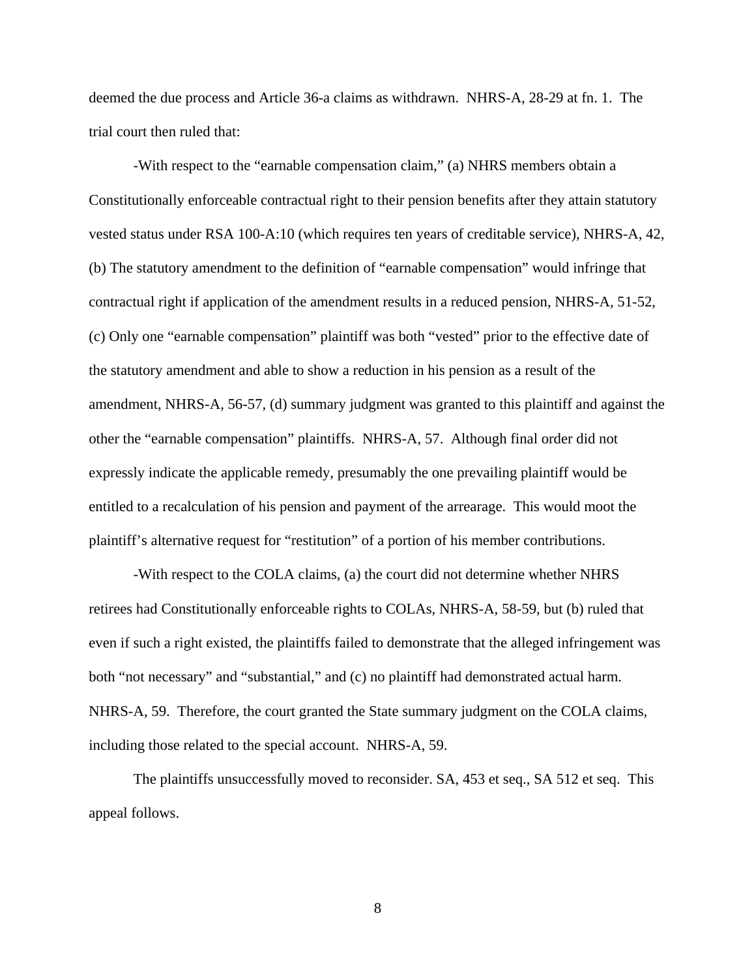deemed the due process and Article 36-a claims as withdrawn. NHRS-A, 28-29 at fn. 1. The trial court then ruled that:

-With respect to the "earnable compensation claim," (a) NHRS members obtain a Constitutionally enforceable contractual right to their pension benefits after they attain statutory vested status under RSA 100-A:10 (which requires ten years of creditable service), NHRS-A, 42, (b) The statutory amendment to the definition of "earnable compensation" would infringe that contractual right if application of the amendment results in a reduced pension, NHRS-A, 51-52, (c) Only one "earnable compensation" plaintiff was both "vested" prior to the effective date of the statutory amendment and able to show a reduction in his pension as a result of the amendment, NHRS-A, 56-57, (d) summary judgment was granted to this plaintiff and against the other the "earnable compensation" plaintiffs. NHRS-A, 57. Although final order did not expressly indicate the applicable remedy, presumably the one prevailing plaintiff would be entitled to a recalculation of his pension and payment of the arrearage. This would moot the plaintiff's alternative request for "restitution" of a portion of his member contributions.

-With respect to the COLA claims, (a) the court did not determine whether NHRS retirees had Constitutionally enforceable rights to COLAs, NHRS-A, 58-59, but (b) ruled that even if such a right existed, the plaintiffs failed to demonstrate that the alleged infringement was both "not necessary" and "substantial," and (c) no plaintiff had demonstrated actual harm. NHRS-A, 59. Therefore, the court granted the State summary judgment on the COLA claims, including those related to the special account. NHRS-A, 59.

The plaintiffs unsuccessfully moved to reconsider. SA, 453 et seq., SA 512 et seq. This appeal follows.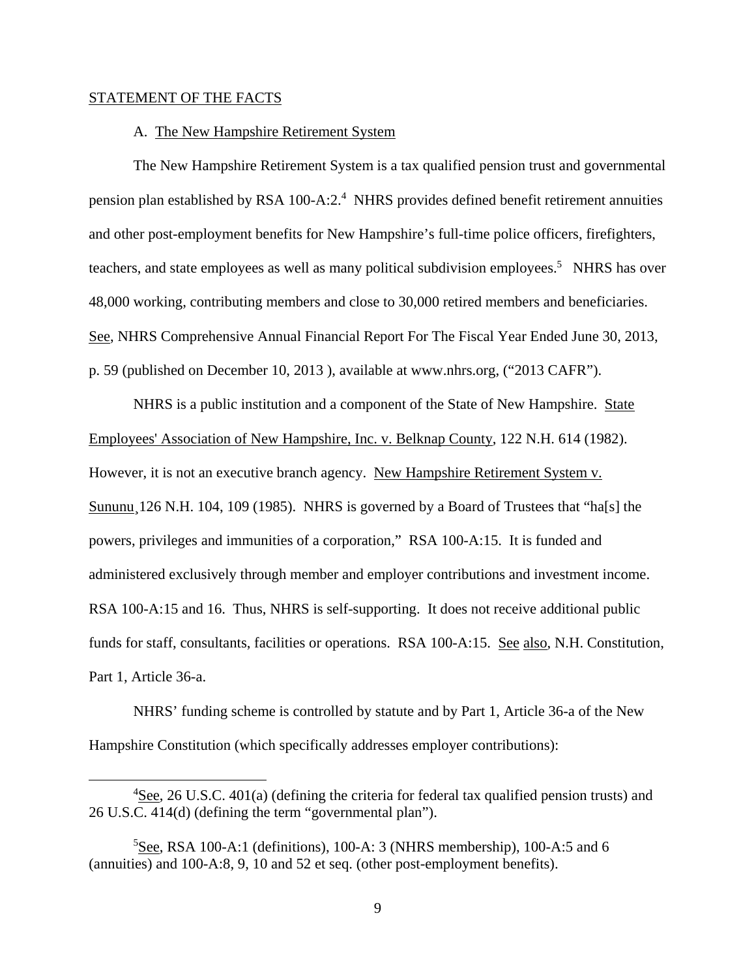#### STATEMENT OF THE FACTS

#### A. The New Hampshire Retirement System

The New Hampshire Retirement System is a tax qualified pension trust and governmental pension plan established by RSA 100-A:2.<sup>4</sup> NHRS provides defined benefit retirement annuities and other post-employment benefits for New Hampshire's full-time police officers, firefighters, teachers, and state employees as well as many political subdivision employees.<sup>5</sup> NHRS has over 48,000 working, contributing members and close to 30,000 retired members and beneficiaries. See, NHRS Comprehensive Annual Financial Report For The Fiscal Year Ended June 30, 2013, p. 59 (published on December 10, 2013 ), available at www.nhrs.org, ("2013 CAFR").

NHRS is a public institution and a component of the State of New Hampshire. State Employees' Association of New Hampshire, Inc. v. Belknap County, 122 N.H. 614 (1982). However, it is not an executive branch agency. New Hampshire Retirement System v. Sununu 126 N.H. 104, 109 (1985). NHRS is governed by a Board of Trustees that "ha<sup>[s]</sup> the powers, privileges and immunities of a corporation," RSA 100-A:15. It is funded and administered exclusively through member and employer contributions and investment income. RSA 100-A:15 and 16. Thus, NHRS is self-supporting. It does not receive additional public funds for staff, consultants, facilities or operations. RSA 100-A:15. See also, N.H. Constitution, Part 1, Article 36-a.

NHRS' funding scheme is controlled by statute and by Part 1, Article 36-a of the New Hampshire Constitution (which specifically addresses employer contributions):

 $\overline{4}$ <sup>4</sup>See, 26 U.S.C. 401(a) (defining the criteria for federal tax qualified pension trusts) and 26 U.S.C. 414(d) (defining the term "governmental plan").

 ${}^{5}$ See, RSA 100-A:1 (definitions), 100-A:3 (NHRS membership), 100-A:5 and 6 (annuities) and 100-A:8, 9, 10 and 52 et seq. (other post-employment benefits).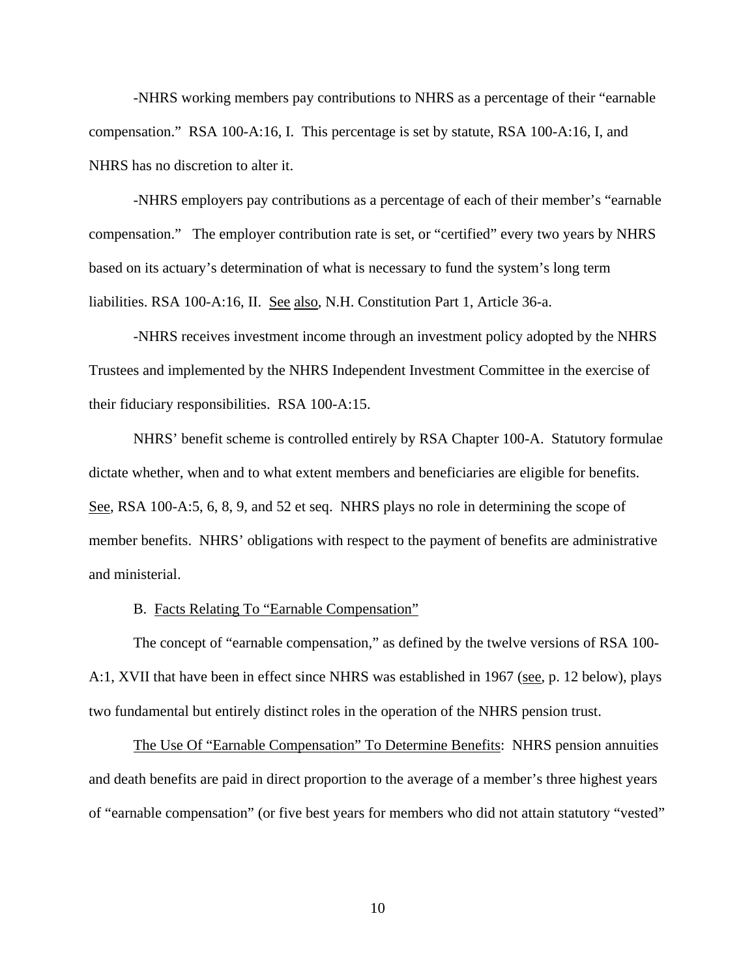-NHRS working members pay contributions to NHRS as a percentage of their "earnable compensation." RSA 100-A:16, I. This percentage is set by statute, RSA 100-A:16, I, and NHRS has no discretion to alter it.

-NHRS employers pay contributions as a percentage of each of their member's "earnable compensation." The employer contribution rate is set, or "certified" every two years by NHRS based on its actuary's determination of what is necessary to fund the system's long term liabilities. RSA 100-A:16, II. See also, N.H. Constitution Part 1, Article 36-a.

-NHRS receives investment income through an investment policy adopted by the NHRS Trustees and implemented by the NHRS Independent Investment Committee in the exercise of their fiduciary responsibilities. RSA 100-A:15.

NHRS' benefit scheme is controlled entirely by RSA Chapter 100-A. Statutory formulae dictate whether, when and to what extent members and beneficiaries are eligible for benefits. See, RSA 100-A:5, 6, 8, 9, and 52 et seq. NHRS plays no role in determining the scope of member benefits. NHRS' obligations with respect to the payment of benefits are administrative and ministerial.

B. Facts Relating To "Earnable Compensation"

The concept of "earnable compensation," as defined by the twelve versions of RSA 100- A:1, XVII that have been in effect since NHRS was established in 1967 (see, p. 12 below), plays two fundamental but entirely distinct roles in the operation of the NHRS pension trust.

The Use Of "Earnable Compensation" To Determine Benefits: NHRS pension annuities and death benefits are paid in direct proportion to the average of a member's three highest years of "earnable compensation" (or five best years for members who did not attain statutory "vested"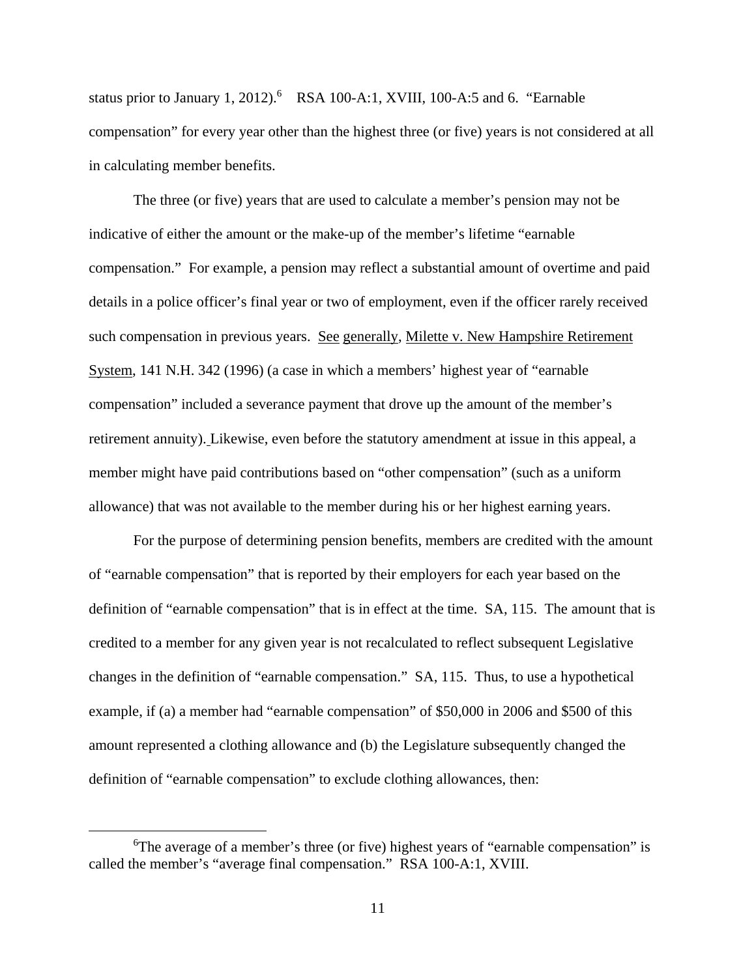status prior to January 1, 2012). $6$  RSA 100-A:1, XVIII, 100-A:5 and 6. "Earnable compensation" for every year other than the highest three (or five) years is not considered at all in calculating member benefits.

The three (or five) years that are used to calculate a member's pension may not be indicative of either the amount or the make-up of the member's lifetime "earnable compensation." For example, a pension may reflect a substantial amount of overtime and paid details in a police officer's final year or two of employment, even if the officer rarely received such compensation in previous years. See generally, Milette v. New Hampshire Retirement System, 141 N.H. 342 (1996) (a case in which a members' highest year of "earnable compensation" included a severance payment that drove up the amount of the member's retirement annuity). Likewise, even before the statutory amendment at issue in this appeal, a member might have paid contributions based on "other compensation" (such as a uniform allowance) that was not available to the member during his or her highest earning years.

For the purpose of determining pension benefits, members are credited with the amount of "earnable compensation" that is reported by their employers for each year based on the definition of "earnable compensation" that is in effect at the time. SA, 115. The amount that is credited to a member for any given year is not recalculated to reflect subsequent Legislative changes in the definition of "earnable compensation." SA, 115. Thus, to use a hypothetical example, if (a) a member had "earnable compensation" of \$50,000 in 2006 and \$500 of this amount represented a clothing allowance and (b) the Legislature subsequently changed the definition of "earnable compensation" to exclude clothing allowances, then:

 $\begin{array}{c|c}\n\hline\n\end{array}$ <sup>6</sup>The average of a member's three (or five) highest years of "earnable compensation" is called the member's "average final compensation." RSA 100-A:1, XVIII.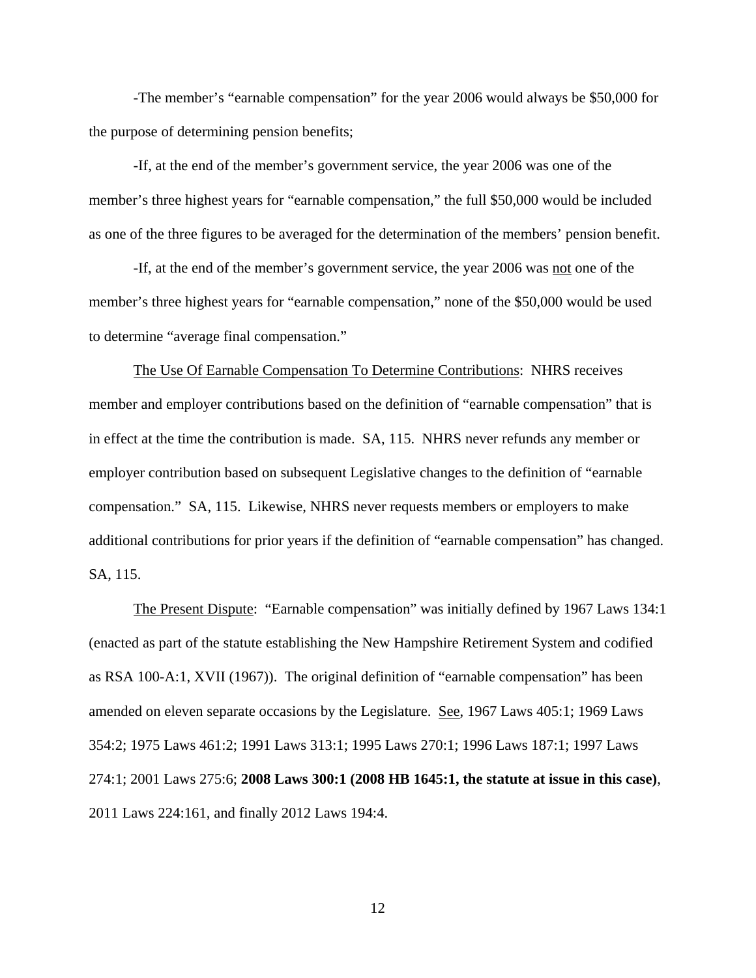-The member's "earnable compensation" for the year 2006 would always be \$50,000 for the purpose of determining pension benefits;

 -If, at the end of the member's government service, the year 2006 was one of the member's three highest years for "earnable compensation," the full \$50,000 would be included as one of the three figures to be averaged for the determination of the members' pension benefit.

 -If, at the end of the member's government service, the year 2006 was not one of the member's three highest years for "earnable compensation," none of the \$50,000 would be used to determine "average final compensation."

 The Use Of Earnable Compensation To Determine Contributions: NHRS receives member and employer contributions based on the definition of "earnable compensation" that is in effect at the time the contribution is made. SA, 115. NHRS never refunds any member or employer contribution based on subsequent Legislative changes to the definition of "earnable compensation." SA, 115. Likewise, NHRS never requests members or employers to make additional contributions for prior years if the definition of "earnable compensation" has changed. SA, 115.

 The Present Dispute: "Earnable compensation" was initially defined by 1967 Laws 134:1 (enacted as part of the statute establishing the New Hampshire Retirement System and codified as RSA 100-A:1, XVII (1967)). The original definition of "earnable compensation" has been amended on eleven separate occasions by the Legislature. See, 1967 Laws 405:1; 1969 Laws 354:2; 1975 Laws 461:2; 1991 Laws 313:1; 1995 Laws 270:1; 1996 Laws 187:1; 1997 Laws 274:1; 2001 Laws 275:6; **2008 Laws 300:1 (2008 HB 1645:1, the statute at issue in this case)**, 2011 Laws 224:161, and finally 2012 Laws 194:4.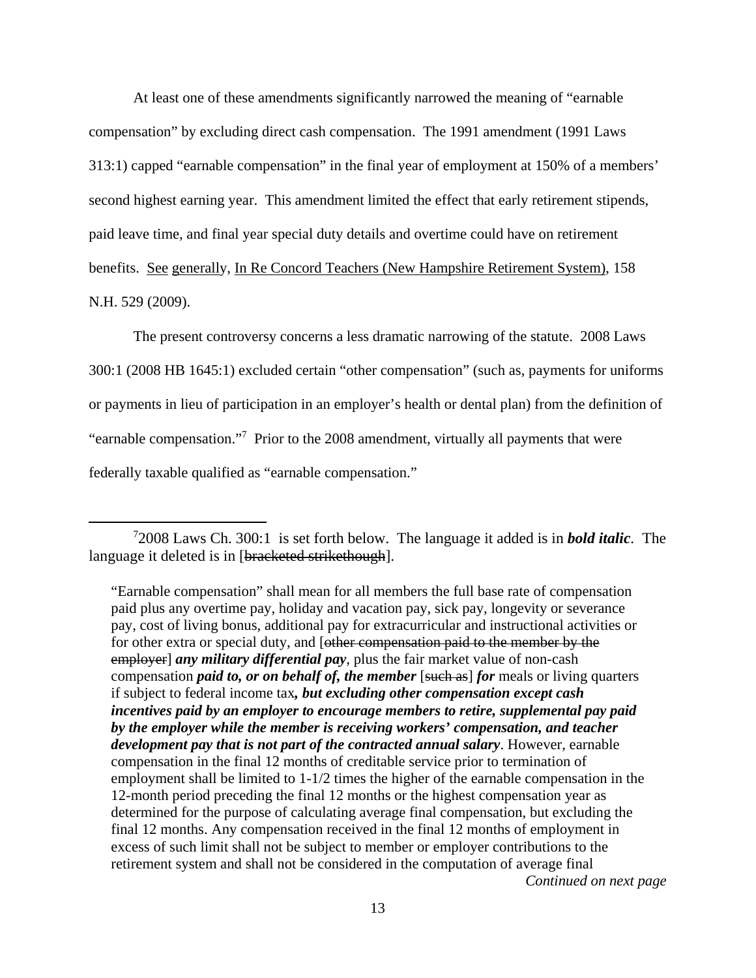At least one of these amendments significantly narrowed the meaning of "earnable compensation" by excluding direct cash compensation. The 1991 amendment (1991 Laws 313:1) capped "earnable compensation" in the final year of employment at 150% of a members' second highest earning year. This amendment limited the effect that early retirement stipends, paid leave time, and final year special duty details and overtime could have on retirement benefits. See generally, In Re Concord Teachers (New Hampshire Retirement System), 158 N.H. 529 (2009).

 The present controversy concerns a less dramatic narrowing of the statute. 2008 Laws 300:1 (2008 HB 1645:1) excluded certain "other compensation" (such as, payments for uniforms or payments in lieu of participation in an employer's health or dental plan) from the definition of "earnable compensation."<sup>7</sup> Prior to the 2008 amendment, virtually all payments that were federally taxable qualified as "earnable compensation."

 $\frac{1}{7}$ 2008 Laws Ch. 300:1 is set forth below. The language it added is in *bold italic*. The language it deleted is in [bracketed strikethough].

<sup>&</sup>quot;Earnable compensation" shall mean for all members the full base rate of compensation paid plus any overtime pay, holiday and vacation pay, sick pay, longevity or severance pay, cost of living bonus, additional pay for extracurricular and instructional activities or for other extra or special duty, and [other compensation paid to the member by the employer] *any military differential pay*, plus the fair market value of non-cash compensation *paid to, or on behalf of, the member* [such as] *for* meals or living quarters if subject to federal income tax*, but excluding other compensation except cash incentives paid by an employer to encourage members to retire, supplemental pay paid by the employer while the member is receiving workers' compensation, and teacher development pay that is not part of the contracted annual salary*. However, earnable compensation in the final 12 months of creditable service prior to termination of employment shall be limited to 1-1/2 times the higher of the earnable compensation in the 12-month period preceding the final 12 months or the highest compensation year as determined for the purpose of calculating average final compensation, but excluding the final 12 months. Any compensation received in the final 12 months of employment in excess of such limit shall not be subject to member or employer contributions to the retirement system and shall not be considered in the computation of average final *Continued on next page*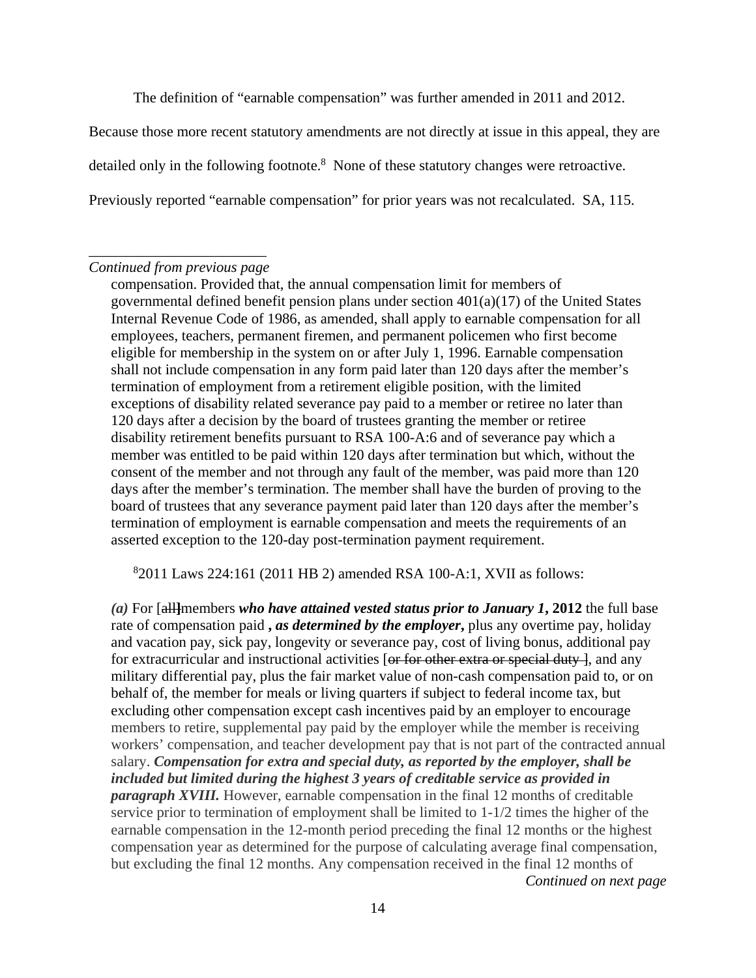The definition of "earnable compensation" was further amended in 2011 and 2012.

Because those more recent statutory amendments are not directly at issue in this appeal, they are detailed only in the following footnote. $8$  None of these statutory changes were retroactive. Previously reported "earnable compensation" for prior years was not recalculated. SA, 115.

### \_\_\_\_\_\_\_\_\_\_\_\_\_\_\_\_\_\_\_\_\_\_\_\_ *Continued from previous page*

compensation. Provided that, the annual compensation limit for members of governmental defined benefit pension plans under section 401(a)(17) of the United States Internal Revenue Code of 1986, as amended, shall apply to earnable compensation for all employees, teachers, permanent firemen, and permanent policemen who first become eligible for membership in the system on or after July 1, 1996. Earnable compensation shall not include compensation in any form paid later than 120 days after the member's termination of employment from a retirement eligible position, with the limited exceptions of disability related severance pay paid to a member or retiree no later than 120 days after a decision by the board of trustees granting the member or retiree disability retirement benefits pursuant to RSA 100-A:6 and of severance pay which a member was entitled to be paid within 120 days after termination but which, without the consent of the member and not through any fault of the member, was paid more than 120 days after the member's termination. The member shall have the burden of proving to the board of trustees that any severance payment paid later than 120 days after the member's termination of employment is earnable compensation and meets the requirements of an asserted exception to the 120-day post-termination payment requirement.

8 2011 Laws 224:161 (2011 HB 2) amended RSA 100-A:1, XVII as follows:

*(a)* For [all**]**members *who have attained vested status prior to January 1***, 2012** the full base rate of compensation paid **,** *as determined by the employer***,** plus any overtime pay, holiday and vacation pay, sick pay, longevity or severance pay, cost of living bonus, additional pay for extracurricular and instructional activities [or for other extra or special duty], and any military differential pay, plus the fair market value of non-cash compensation paid to, or on behalf of, the member for meals or living quarters if subject to federal income tax, but excluding other compensation except cash incentives paid by an employer to encourage members to retire, supplemental pay paid by the employer while the member is receiving workers' compensation, and teacher development pay that is not part of the contracted annual salary. *Compensation for extra and special duty, as reported by the employer, shall be included but limited during the highest 3 years of creditable service as provided in paragraph XVIII.* However, earnable compensation in the final 12 months of creditable service prior to termination of employment shall be limited to 1-1/2 times the higher of the earnable compensation in the 12-month period preceding the final 12 months or the highest compensation year as determined for the purpose of calculating average final compensation, but excluding the final 12 months. Any compensation received in the final 12 months of *Continued on next page*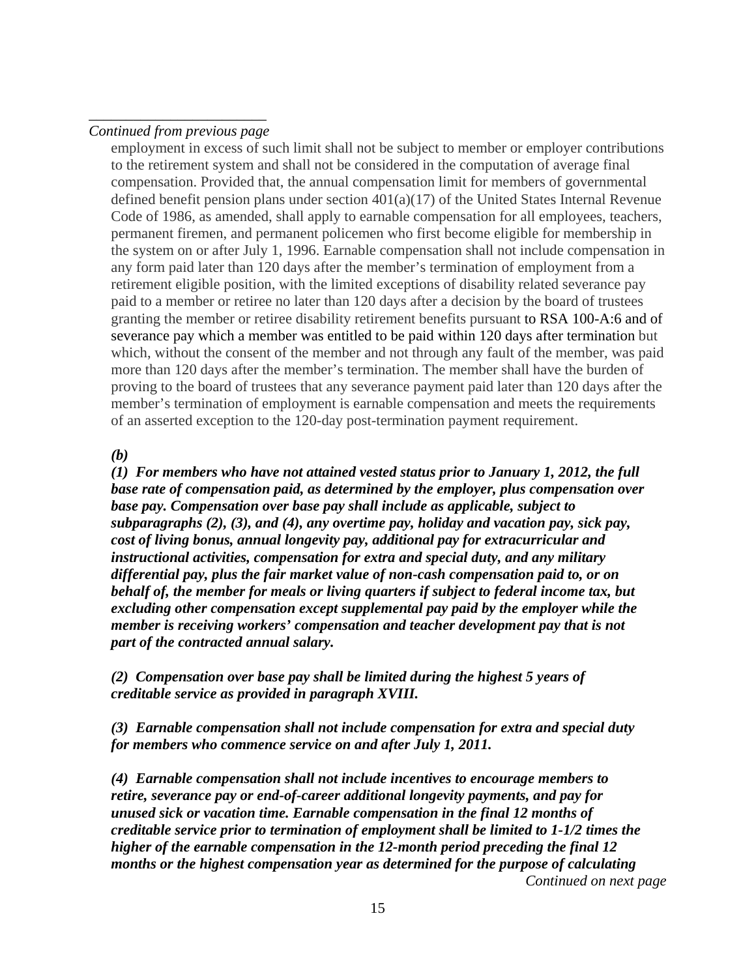### \_\_\_\_\_\_\_\_\_\_\_\_\_\_\_\_\_\_\_\_\_\_\_\_ *Continued from previous page*

employment in excess of such limit shall not be subject to member or employer contributions to the retirement system and shall not be considered in the computation of average final compensation. Provided that, the annual compensation limit for members of governmental defined benefit pension plans under section 401(a)(17) of the United States Internal Revenue Code of 1986, as amended, shall apply to earnable compensation for all employees, teachers, permanent firemen, and permanent policemen who first become eligible for membership in the system on or after July 1, 1996. Earnable compensation shall not include compensation in any form paid later than 120 days after the member's termination of employment from a retirement eligible position, with the limited exceptions of disability related severance pay paid to a member or retiree no later than 120 days after a decision by the board of trustees granting the member or retiree disability retirement benefits pursuant to RSA 100-A:6 and of severance pay which a member was entitled to be paid within 120 days after termination but which, without the consent of the member and not through any fault of the member, was paid more than 120 days after the member's termination. The member shall have the burden of proving to the board of trustees that any severance payment paid later than 120 days after the member's termination of employment is earnable compensation and meets the requirements of an asserted exception to the 120-day post-termination payment requirement.

### *(b)*

*(1) For members who have not attained vested status prior to January 1, 2012, the full base rate of compensation paid, as determined by the employer, plus compensation over base pay. Compensation over base pay shall include as applicable, subject to subparagraphs (2), (3), and (4), any overtime pay, holiday and vacation pay, sick pay, cost of living bonus, annual longevity pay, additional pay for extracurricular and instructional activities, compensation for extra and special duty, and any military differential pay, plus the fair market value of non-cash compensation paid to, or on behalf of, the member for meals or living quarters if subject to federal income tax, but excluding other compensation except supplemental pay paid by the employer while the member is receiving workers' compensation and teacher development pay that is not part of the contracted annual salary.* 

*(2) Compensation over base pay shall be limited during the highest 5 years of creditable service as provided in paragraph XVIII.* 

*(3) Earnable compensation shall not include compensation for extra and special duty for members who commence service on and after July 1, 2011.* 

*(4) Earnable compensation shall not include incentives to encourage members to retire, severance pay or end-of-career additional longevity payments, and pay for unused sick or vacation time. Earnable compensation in the final 12 months of creditable service prior to termination of employment shall be limited to 1-1/2 times the higher of the earnable compensation in the 12-month period preceding the final 12 months or the highest compensation year as determined for the purpose of calculating Continued on next page*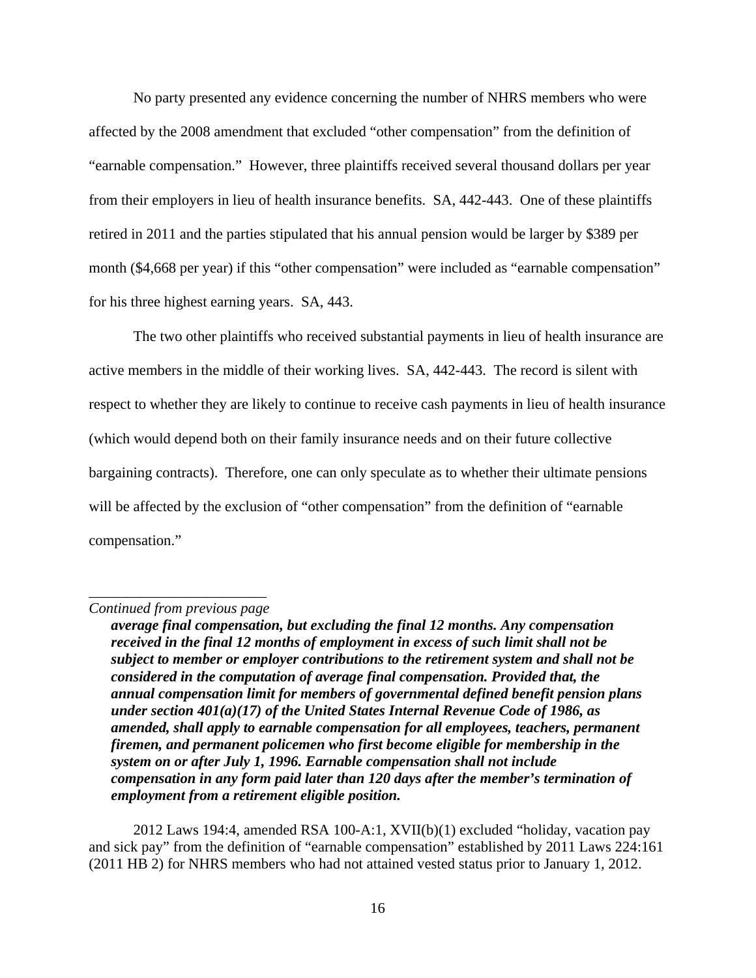No party presented any evidence concerning the number of NHRS members who were affected by the 2008 amendment that excluded "other compensation" from the definition of "earnable compensation." However, three plaintiffs received several thousand dollars per year from their employers in lieu of health insurance benefits. SA, 442-443. One of these plaintiffs retired in 2011 and the parties stipulated that his annual pension would be larger by \$389 per month (\$4,668 per year) if this "other compensation" were included as "earnable compensation" for his three highest earning years. SA, 443.

The two other plaintiffs who received substantial payments in lieu of health insurance are active members in the middle of their working lives. SA, 442-443. The record is silent with respect to whether they are likely to continue to receive cash payments in lieu of health insurance (which would depend both on their family insurance needs and on their future collective bargaining contracts). Therefore, one can only speculate as to whether their ultimate pensions will be affected by the exclusion of "other compensation" from the definition of "earnable" compensation."

2012 Laws 194:4, amended RSA 100-A:1, XVII(b)(1) excluded "holiday, vacation pay and sick pay" from the definition of "earnable compensation" established by 2011 Laws 224:161 (2011 HB 2) for NHRS members who had not attained vested status prior to January 1, 2012.

\_\_\_\_\_\_\_\_\_\_\_\_\_\_\_\_\_\_\_\_\_\_\_\_ *Continued from previous page* 

*average final compensation, but excluding the final 12 months. Any compensation received in the final 12 months of employment in excess of such limit shall not be subject to member or employer contributions to the retirement system and shall not be considered in the computation of average final compensation. Provided that, the annual compensation limit for members of governmental defined benefit pension plans under section 401(a)(17) of the United States Internal Revenue Code of 1986, as amended, shall apply to earnable compensation for all employees, teachers, permanent firemen, and permanent policemen who first become eligible for membership in the system on or after July 1, 1996. Earnable compensation shall not include compensation in any form paid later than 120 days after the member's termination of employment from a retirement eligible position.*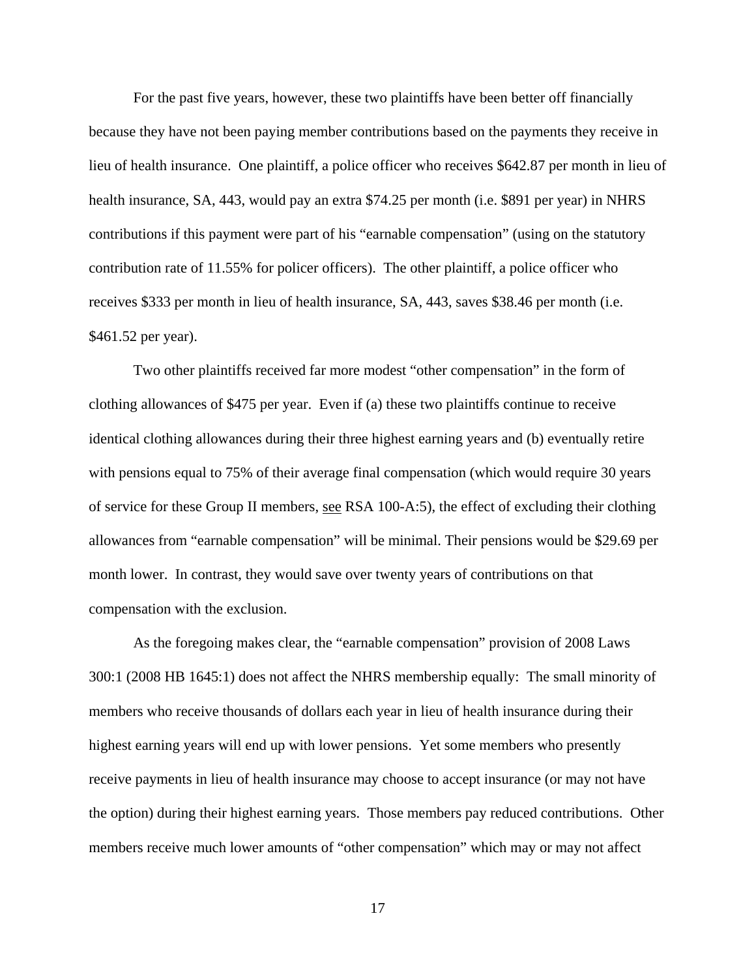For the past five years, however, these two plaintiffs have been better off financially because they have not been paying member contributions based on the payments they receive in lieu of health insurance. One plaintiff, a police officer who receives \$642.87 per month in lieu of health insurance, SA, 443, would pay an extra \$74.25 per month (i.e. \$891 per year) in NHRS contributions if this payment were part of his "earnable compensation" (using on the statutory contribution rate of 11.55% for policer officers). The other plaintiff, a police officer who receives \$333 per month in lieu of health insurance, SA, 443, saves \$38.46 per month (i.e. \$461.52 per year).

Two other plaintiffs received far more modest "other compensation" in the form of clothing allowances of \$475 per year. Even if (a) these two plaintiffs continue to receive identical clothing allowances during their three highest earning years and (b) eventually retire with pensions equal to 75% of their average final compensation (which would require 30 years of service for these Group II members, see RSA 100-A:5), the effect of excluding their clothing allowances from "earnable compensation" will be minimal. Their pensions would be \$29.69 per month lower. In contrast, they would save over twenty years of contributions on that compensation with the exclusion.

As the foregoing makes clear, the "earnable compensation" provision of 2008 Laws 300:1 (2008 HB 1645:1) does not affect the NHRS membership equally: The small minority of members who receive thousands of dollars each year in lieu of health insurance during their highest earning years will end up with lower pensions. Yet some members who presently receive payments in lieu of health insurance may choose to accept insurance (or may not have the option) during their highest earning years. Those members pay reduced contributions. Other members receive much lower amounts of "other compensation" which may or may not affect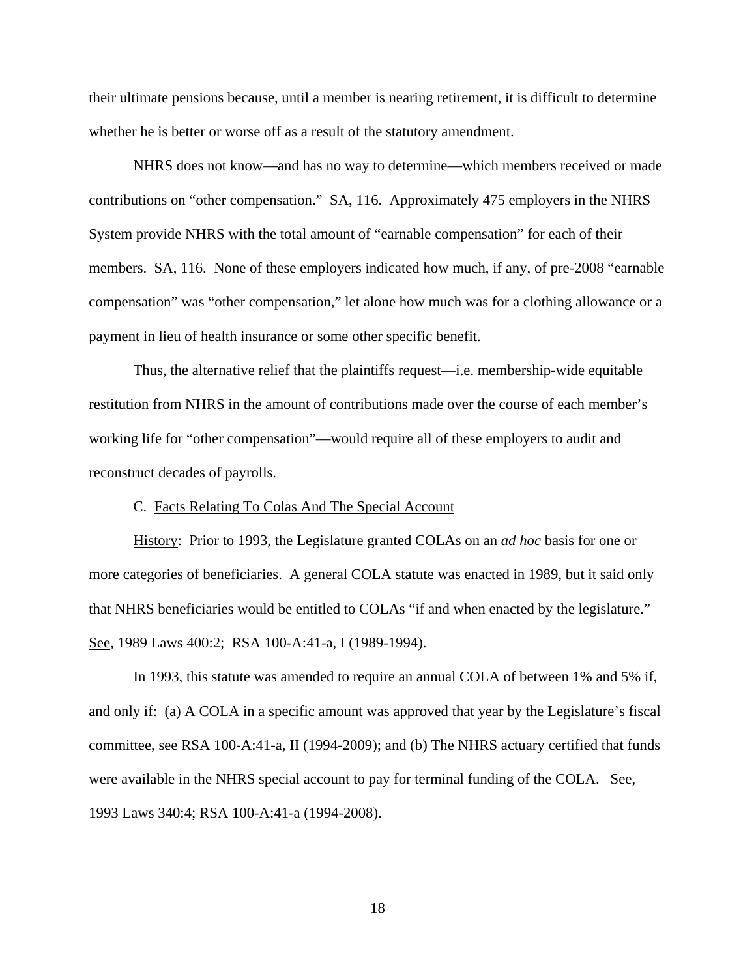their ultimate pensions because, until a member is nearing retirement, it is difficult to determine whether he is better or worse off as a result of the statutory amendment.

NHRS does not know—and has no way to determine—which members received or made contributions on "other compensation." SA, 116. Approximately 475 employers in the NHRS System provide NHRS with the total amount of "earnable compensation" for each of their members. SA, 116. None of these employers indicated how much, if any, of pre-2008 "earnable compensation" was "other compensation," let alone how much was for a clothing allowance or a payment in lieu of health insurance or some other specific benefit.

Thus, the alternative relief that the plaintiffs request—i.e. membership-wide equitable restitution from NHRS in the amount of contributions made over the course of each member's working life for "other compensation"—would require all of these employers to audit and reconstruct decades of payrolls.

#### C. Facts Relating To Colas And The Special Account

 History: Prior to 1993, the Legislature granted COLAs on an *ad hoc* basis for one or more categories of beneficiaries. A general COLA statute was enacted in 1989, but it said only that NHRS beneficiaries would be entitled to COLAs "if and when enacted by the legislature." See, 1989 Laws 400:2; RSA 100-A:41-a, I (1989-1994).

 In 1993, this statute was amended to require an annual COLA of between 1% and 5% if, and only if: (a) A COLA in a specific amount was approved that year by the Legislature's fiscal committee, see RSA 100-A:41-a, II (1994-2009); and (b) The NHRS actuary certified that funds were available in the NHRS special account to pay for terminal funding of the COLA. See, 1993 Laws 340:4; RSA 100-A:41-a (1994-2008).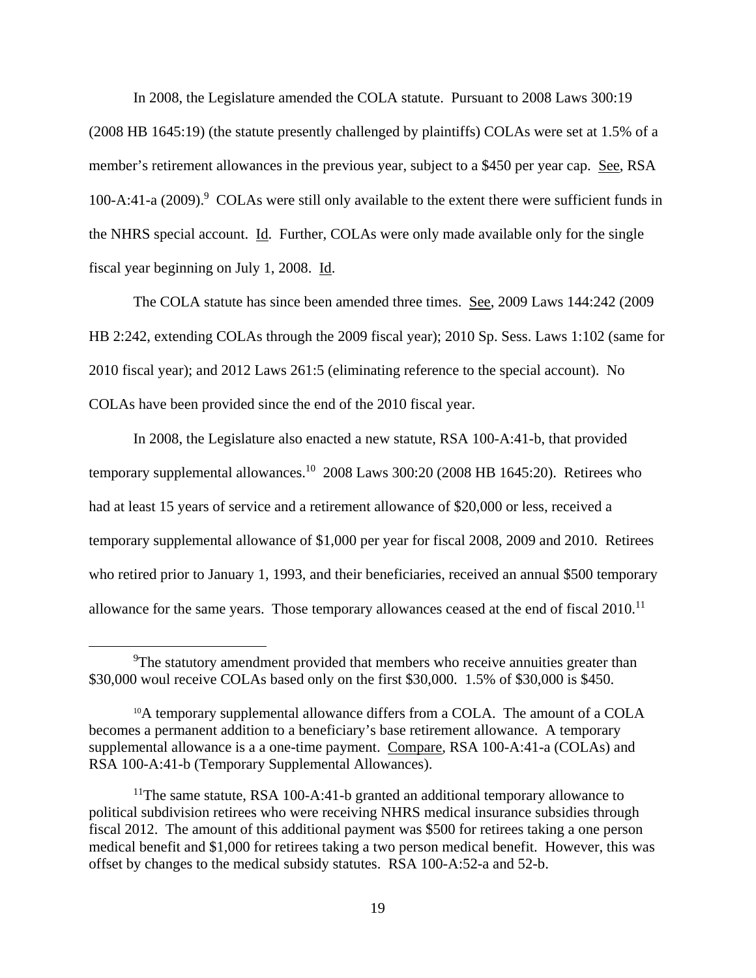In 2008, the Legislature amended the COLA statute. Pursuant to 2008 Laws 300:19 (2008 HB 1645:19) (the statute presently challenged by plaintiffs) COLAs were set at 1.5% of a member's retirement allowances in the previous year, subject to a \$450 per year cap. See, RSA 100-A:41-a (2009).<sup>9</sup> COLAs were still only available to the extent there were sufficient funds in the NHRS special account. Id. Further, COLAs were only made available only for the single fiscal year beginning on July 1, 2008. Id.

 The COLA statute has since been amended three times. See, 2009 Laws 144:242 (2009 HB 2:242, extending COLAs through the 2009 fiscal year); 2010 Sp. Sess. Laws 1:102 (same for 2010 fiscal year); and 2012 Laws 261:5 (eliminating reference to the special account). No COLAs have been provided since the end of the 2010 fiscal year.

 In 2008, the Legislature also enacted a new statute, RSA 100-A:41-b, that provided temporary supplemental allowances.<sup>10</sup> 2008 Laws 300:20 (2008 HB 1645:20). Retirees who had at least 15 years of service and a retirement allowance of \$20,000 or less, received a temporary supplemental allowance of \$1,000 per year for fiscal 2008, 2009 and 2010. Retirees who retired prior to January 1, 1993, and their beneficiaries, received an annual \$500 temporary allowance for the same years. Those temporary allowances ceased at the end of fiscal 2010.<sup>11</sup>

 <sup>9</sup> <sup>9</sup>The statutory amendment provided that members who receive annuities greater than \$30,000 woul receive COLAs based only on the first \$30,000. 1.5% of \$30,000 is \$450.

<sup>&</sup>lt;sup>10</sup>A temporary supplemental allowance differs from a COLA. The amount of a COLA becomes a permanent addition to a beneficiary's base retirement allowance. A temporary supplemental allowance is a a one-time payment. Compare, RSA 100-A:41-a (COLAs) and RSA 100-A:41-b (Temporary Supplemental Allowances).

<sup>&</sup>lt;sup>11</sup>The same statute, RSA 100-A:41-b granted an additional temporary allowance to political subdivision retirees who were receiving NHRS medical insurance subsidies through fiscal 2012. The amount of this additional payment was \$500 for retirees taking a one person medical benefit and \$1,000 for retirees taking a two person medical benefit. However, this was offset by changes to the medical subsidy statutes. RSA 100-A:52-a and 52-b.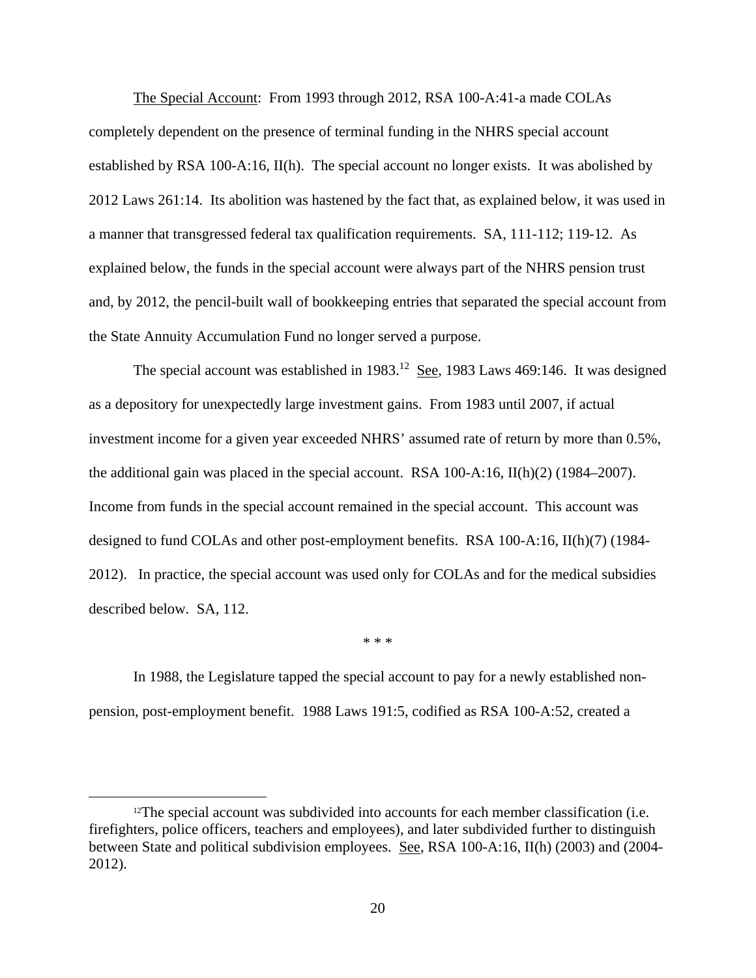The Special Account: From 1993 through 2012, RSA 100-A:41-a made COLAs completely dependent on the presence of terminal funding in the NHRS special account established by RSA 100-A:16, II(h). The special account no longer exists. It was abolished by 2012 Laws 261:14. Its abolition was hastened by the fact that, as explained below, it was used in a manner that transgressed federal tax qualification requirements. SA, 111-112; 119-12. As explained below, the funds in the special account were always part of the NHRS pension trust and, by 2012, the pencil-built wall of bookkeeping entries that separated the special account from the State Annuity Accumulation Fund no longer served a purpose.

The special account was established in  $1983$ <sup>12</sup> See, 1983 Laws 469:146. It was designed as a depository for unexpectedly large investment gains. From 1983 until 2007, if actual investment income for a given year exceeded NHRS' assumed rate of return by more than 0.5%, the additional gain was placed in the special account. RSA 100-A:16,  $II(h)(2)$  (1984–2007). Income from funds in the special account remained in the special account. This account was designed to fund COLAs and other post-employment benefits. RSA 100-A:16, II(h)(7) (1984- 2012). In practice, the special account was used only for COLAs and for the medical subsidies described below. SA, 112.

 In 1988, the Legislature tapped the special account to pay for a newly established nonpension, post-employment benefit. 1988 Laws 191:5, codified as RSA 100-A:52, created a

\* \* \*

 $12$ The special account was subdivided into accounts for each member classification (i.e. firefighters, police officers, teachers and employees), and later subdivided further to distinguish between State and political subdivision employees. See, RSA 100-A:16, II(h) (2003) and (2004- 2012).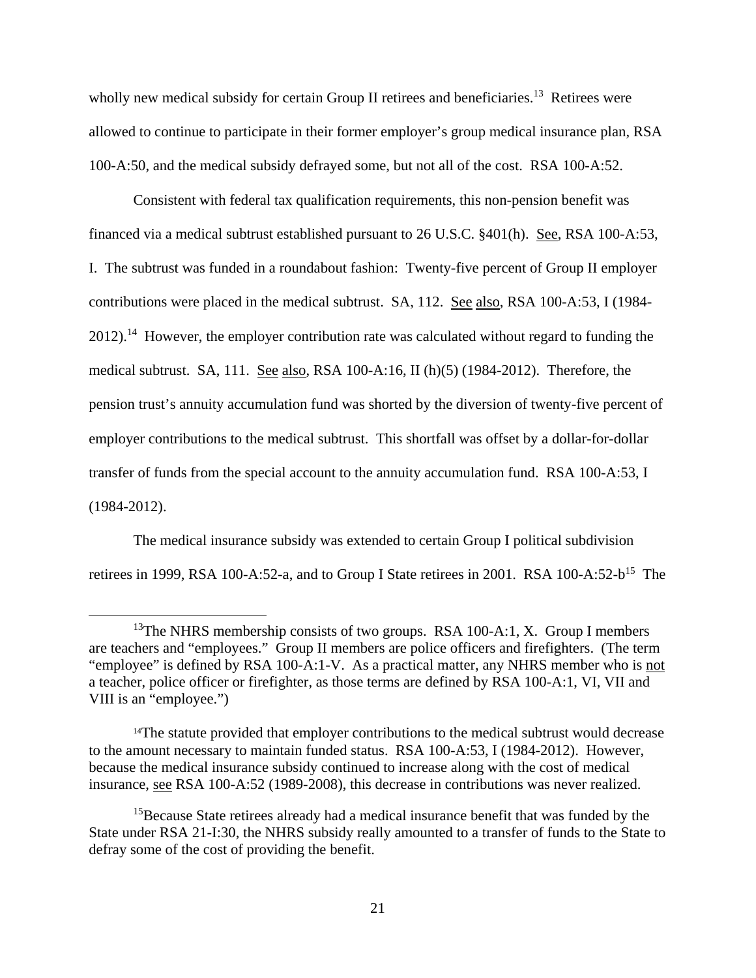wholly new medical subsidy for certain Group II retirees and beneficiaries.<sup>13</sup> Retirees were allowed to continue to participate in their former employer's group medical insurance plan, RSA 100-A:50, and the medical subsidy defrayed some, but not all of the cost. RSA 100-A:52.

 Consistent with federal tax qualification requirements, this non-pension benefit was financed via a medical subtrust established pursuant to 26 U.S.C. §401(h). See, RSA 100-A:53, I. The subtrust was funded in a roundabout fashion: Twenty-five percent of Group II employer contributions were placed in the medical subtrust. SA, 112. See also, RSA 100-A:53, I (1984-  $2012$ ).<sup>14</sup> However, the employer contribution rate was calculated without regard to funding the medical subtrust. SA, 111. See also, RSA 100-A:16, II (h)(5) (1984-2012). Therefore, the pension trust's annuity accumulation fund was shorted by the diversion of twenty-five percent of employer contributions to the medical subtrust. This shortfall was offset by a dollar-for-dollar transfer of funds from the special account to the annuity accumulation fund. RSA 100-A:53, I (1984-2012).

 The medical insurance subsidy was extended to certain Group I political subdivision retirees in 1999, RSA 100-A:52-a, and to Group I State retirees in 2001. RSA 100-A:52- $b^{15}$  The

<sup>&</sup>lt;sup>13</sup>The NHRS membership consists of two groups. RSA 100-A:1, X. Group I members are teachers and "employees." Group II members are police officers and firefighters. (The term "employee" is defined by RSA 100-A:1-V. As a practical matter, any NHRS member who is not a teacher, police officer or firefighter, as those terms are defined by RSA 100-A:1, VI, VII and VIII is an "employee.")

<sup>&</sup>lt;sup>14</sup>The statute provided that employer contributions to the medical subtrust would decrease to the amount necessary to maintain funded status. RSA 100-A:53, I (1984-2012). However, because the medical insurance subsidy continued to increase along with the cost of medical insurance, see RSA 100-A:52 (1989-2008), this decrease in contributions was never realized.

<sup>&</sup>lt;sup>15</sup>Because State retirees already had a medical insurance benefit that was funded by the State under RSA 21-I:30, the NHRS subsidy really amounted to a transfer of funds to the State to defray some of the cost of providing the benefit.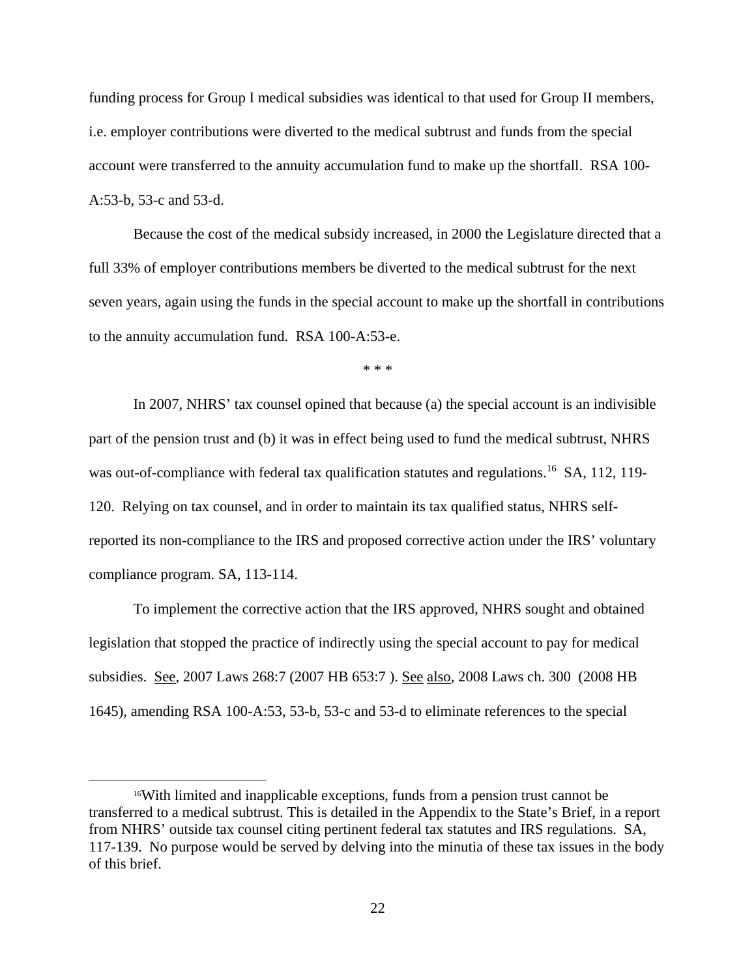funding process for Group I medical subsidies was identical to that used for Group II members, i.e. employer contributions were diverted to the medical subtrust and funds from the special account were transferred to the annuity accumulation fund to make up the shortfall. RSA 100- A:53-b, 53-c and 53-d.

 Because the cost of the medical subsidy increased, in 2000 the Legislature directed that a full 33% of employer contributions members be diverted to the medical subtrust for the next seven years, again using the funds in the special account to make up the shortfall in contributions to the annuity accumulation fund. RSA 100-A:53-e.

\* \* \*

In 2007, NHRS' tax counsel opined that because (a) the special account is an indivisible part of the pension trust and (b) it was in effect being used to fund the medical subtrust, NHRS was out-of-compliance with federal tax qualification statutes and regulations.<sup>16</sup> SA, 112, 119-120. Relying on tax counsel, and in order to maintain its tax qualified status, NHRS selfreported its non-compliance to the IRS and proposed corrective action under the IRS' voluntary compliance program. SA, 113-114.

To implement the corrective action that the IRS approved, NHRS sought and obtained legislation that stopped the practice of indirectly using the special account to pay for medical subsidies. See, 2007 Laws 268:7 (2007 HB 653:7 ). See also, 2008 Laws ch. 300 (2008 HB 1645), amending RSA 100-A:53, 53-b, 53-c and 53-d to eliminate references to the special

 <sup>16</sup>With limited and inapplicable exceptions, funds from a pension trust cannot be transferred to a medical subtrust. This is detailed in the Appendix to the State's Brief, in a report from NHRS' outside tax counsel citing pertinent federal tax statutes and IRS regulations. SA, 117-139. No purpose would be served by delving into the minutia of these tax issues in the body of this brief.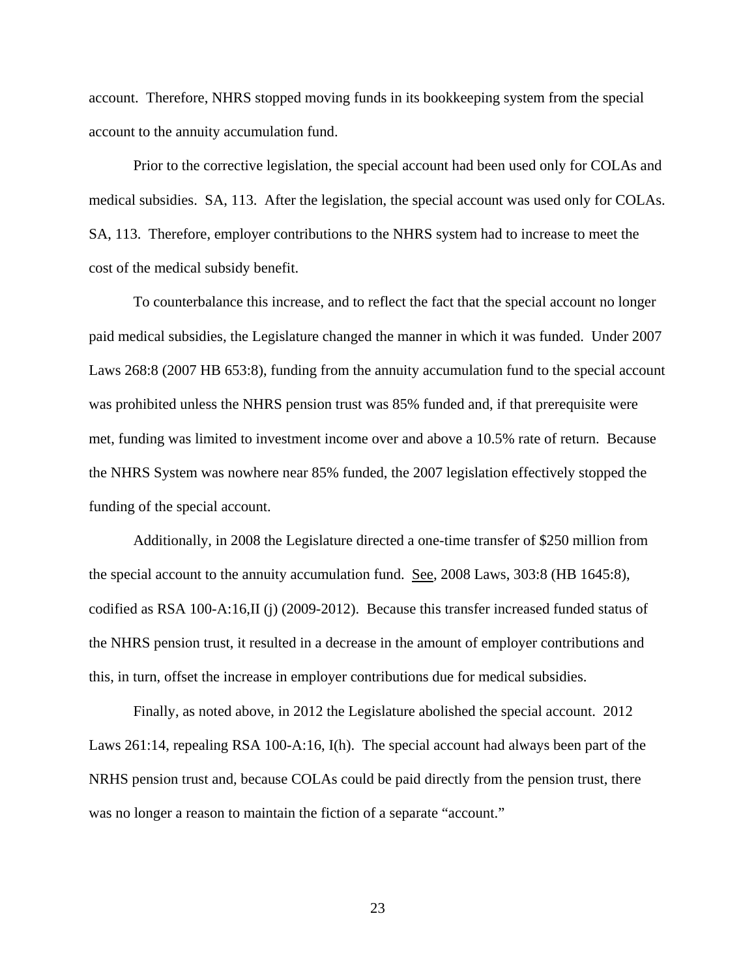account. Therefore, NHRS stopped moving funds in its bookkeeping system from the special account to the annuity accumulation fund.

Prior to the corrective legislation, the special account had been used only for COLAs and medical subsidies. SA, 113. After the legislation, the special account was used only for COLAs. SA, 113. Therefore, employer contributions to the NHRS system had to increase to meet the cost of the medical subsidy benefit.

To counterbalance this increase, and to reflect the fact that the special account no longer paid medical subsidies, the Legislature changed the manner in which it was funded. Under 2007 Laws 268:8 (2007 HB 653:8), funding from the annuity accumulation fund to the special account was prohibited unless the NHRS pension trust was 85% funded and, if that prerequisite were met, funding was limited to investment income over and above a 10.5% rate of return. Because the NHRS System was nowhere near 85% funded, the 2007 legislation effectively stopped the funding of the special account.

Additionally, in 2008 the Legislature directed a one-time transfer of \$250 million from the special account to the annuity accumulation fund. See, 2008 Laws, 303:8 (HB 1645:8), codified as RSA 100-A:16,II (j) (2009-2012). Because this transfer increased funded status of the NHRS pension trust, it resulted in a decrease in the amount of employer contributions and this, in turn, offset the increase in employer contributions due for medical subsidies.

Finally, as noted above, in 2012 the Legislature abolished the special account. 2012 Laws 261:14, repealing RSA 100-A:16, I(h). The special account had always been part of the NRHS pension trust and, because COLAs could be paid directly from the pension trust, there was no longer a reason to maintain the fiction of a separate "account."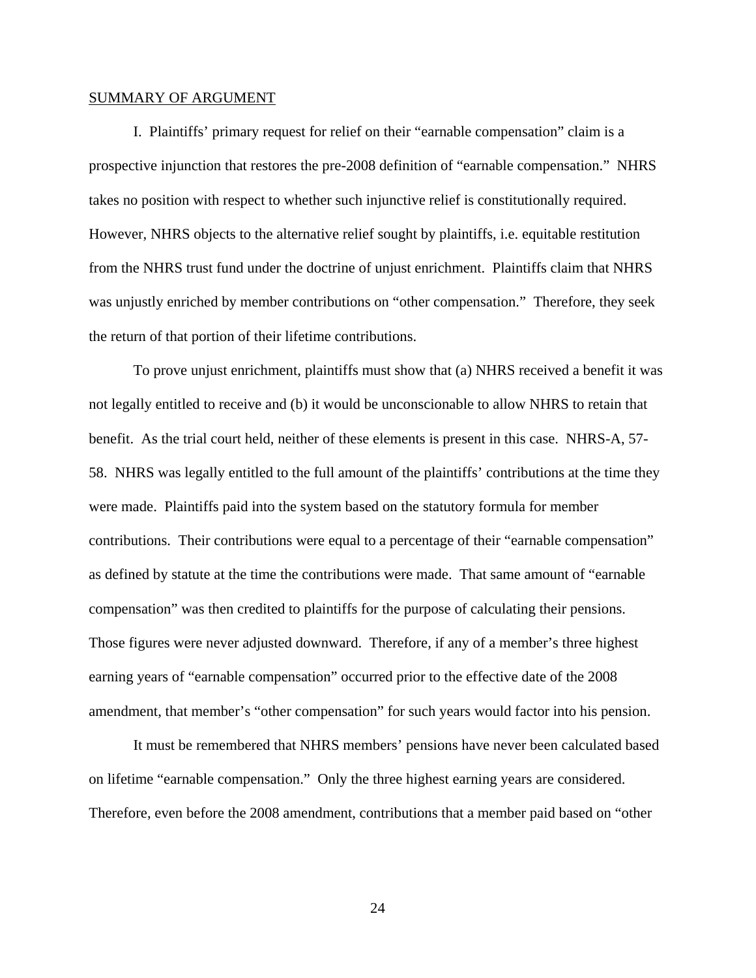#### SUMMARY OF ARGUMENT

I. Plaintiffs' primary request for relief on their "earnable compensation" claim is a prospective injunction that restores the pre-2008 definition of "earnable compensation." NHRS takes no position with respect to whether such injunctive relief is constitutionally required. However, NHRS objects to the alternative relief sought by plaintiffs, i.e. equitable restitution from the NHRS trust fund under the doctrine of unjust enrichment. Plaintiffs claim that NHRS was unjustly enriched by member contributions on "other compensation." Therefore, they seek the return of that portion of their lifetime contributions.

To prove unjust enrichment, plaintiffs must show that (a) NHRS received a benefit it was not legally entitled to receive and (b) it would be unconscionable to allow NHRS to retain that benefit. As the trial court held, neither of these elements is present in this case. NHRS-A, 57- 58. NHRS was legally entitled to the full amount of the plaintiffs' contributions at the time they were made. Plaintiffs paid into the system based on the statutory formula for member contributions. Their contributions were equal to a percentage of their "earnable compensation" as defined by statute at the time the contributions were made. That same amount of "earnable compensation" was then credited to plaintiffs for the purpose of calculating their pensions. Those figures were never adjusted downward. Therefore, if any of a member's three highest earning years of "earnable compensation" occurred prior to the effective date of the 2008 amendment, that member's "other compensation" for such years would factor into his pension.

It must be remembered that NHRS members' pensions have never been calculated based on lifetime "earnable compensation." Only the three highest earning years are considered. Therefore, even before the 2008 amendment, contributions that a member paid based on "other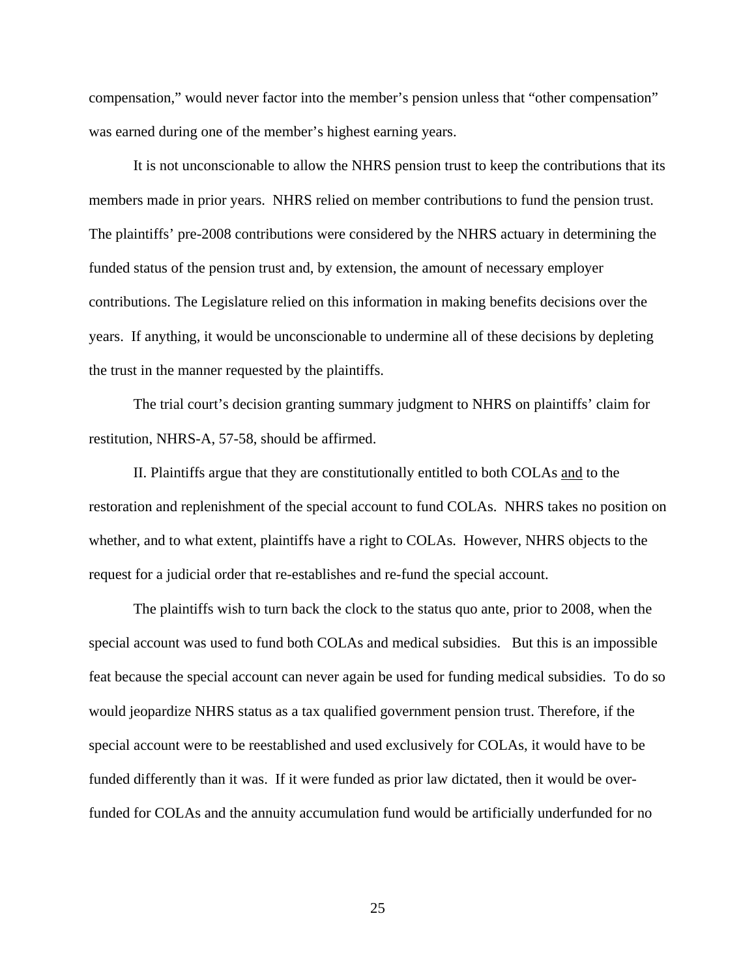compensation," would never factor into the member's pension unless that "other compensation" was earned during one of the member's highest earning years.

It is not unconscionable to allow the NHRS pension trust to keep the contributions that its members made in prior years. NHRS relied on member contributions to fund the pension trust. The plaintiffs' pre-2008 contributions were considered by the NHRS actuary in determining the funded status of the pension trust and, by extension, the amount of necessary employer contributions. The Legislature relied on this information in making benefits decisions over the years. If anything, it would be unconscionable to undermine all of these decisions by depleting the trust in the manner requested by the plaintiffs.

The trial court's decision granting summary judgment to NHRS on plaintiffs' claim for restitution, NHRS-A, 57-58, should be affirmed.

II. Plaintiffs argue that they are constitutionally entitled to both COLAs and to the restoration and replenishment of the special account to fund COLAs. NHRS takes no position on whether, and to what extent, plaintiffs have a right to COLAs. However, NHRS objects to the request for a judicial order that re-establishes and re-fund the special account.

The plaintiffs wish to turn back the clock to the status quo ante, prior to 2008, when the special account was used to fund both COLAs and medical subsidies. But this is an impossible feat because the special account can never again be used for funding medical subsidies. To do so would jeopardize NHRS status as a tax qualified government pension trust. Therefore, if the special account were to be reestablished and used exclusively for COLAs, it would have to be funded differently than it was. If it were funded as prior law dictated, then it would be overfunded for COLAs and the annuity accumulation fund would be artificially underfunded for no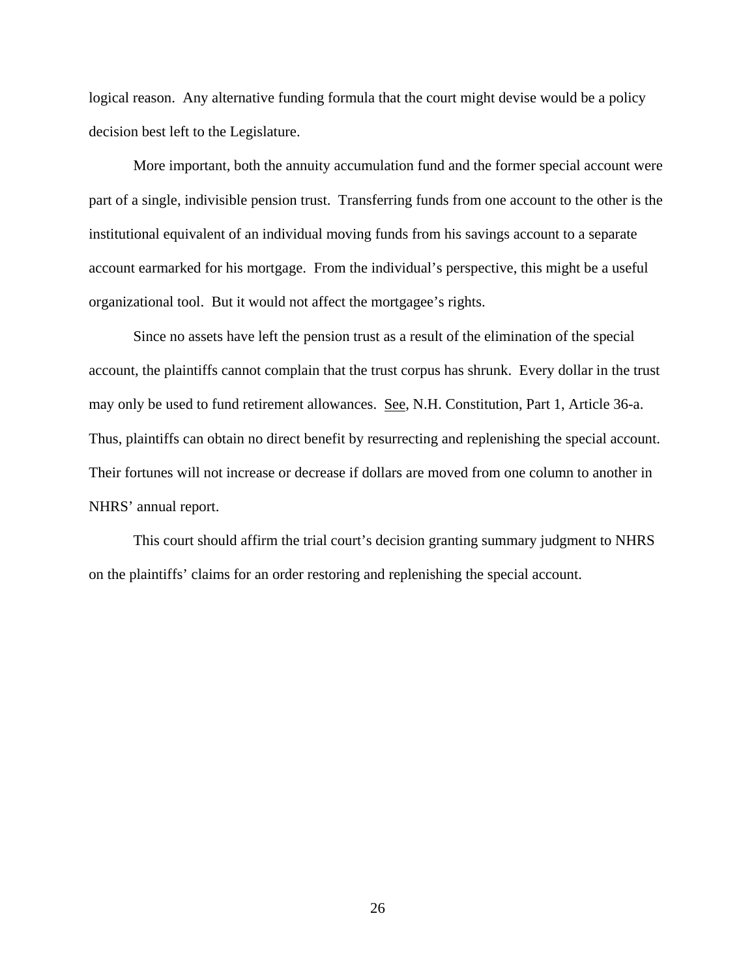logical reason. Any alternative funding formula that the court might devise would be a policy decision best left to the Legislature.

More important, both the annuity accumulation fund and the former special account were part of a single, indivisible pension trust. Transferring funds from one account to the other is the institutional equivalent of an individual moving funds from his savings account to a separate account earmarked for his mortgage. From the individual's perspective, this might be a useful organizational tool. But it would not affect the mortgagee's rights.

Since no assets have left the pension trust as a result of the elimination of the special account, the plaintiffs cannot complain that the trust corpus has shrunk. Every dollar in the trust may only be used to fund retirement allowances. See, N.H. Constitution, Part 1, Article 36-a. Thus, plaintiffs can obtain no direct benefit by resurrecting and replenishing the special account. Their fortunes will not increase or decrease if dollars are moved from one column to another in NHRS' annual report.

This court should affirm the trial court's decision granting summary judgment to NHRS on the plaintiffs' claims for an order restoring and replenishing the special account.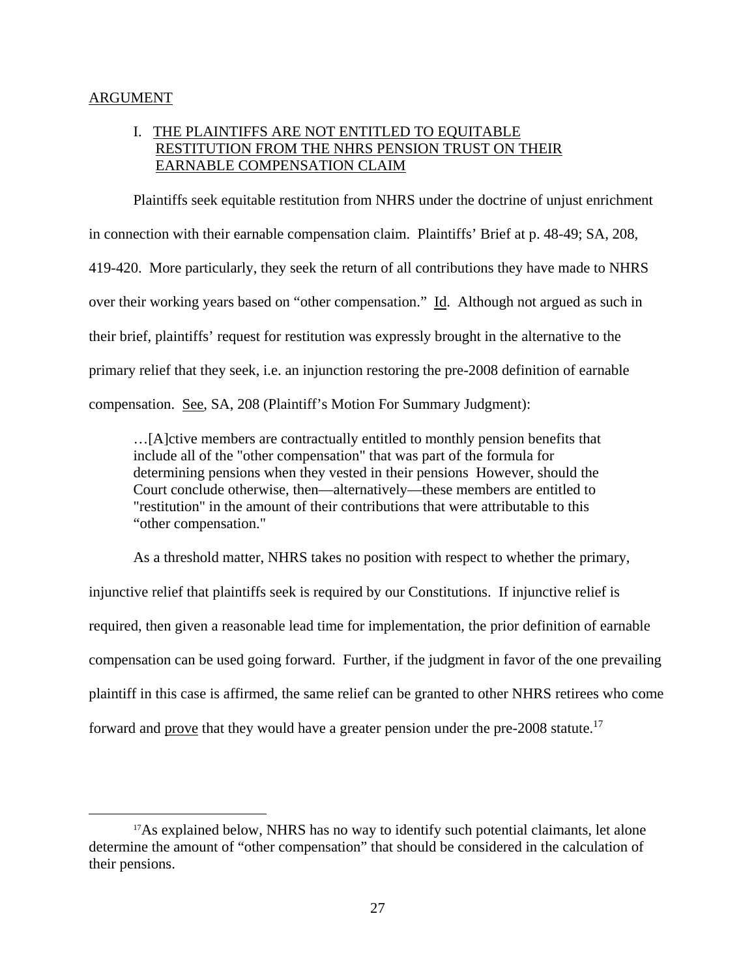### ARGUMENT

# I. THE PLAINTIFFS ARE NOT ENTITLED TO EQUITABLE RESTITUTION FROM THE NHRS PENSION TRUST ON THEIR EARNABLE COMPENSATION CLAIM

Plaintiffs seek equitable restitution from NHRS under the doctrine of unjust enrichment in connection with their earnable compensation claim. Plaintiffs' Brief at p. 48-49; SA, 208, 419-420. More particularly, they seek the return of all contributions they have made to NHRS over their working years based on "other compensation." Id. Although not argued as such in their brief, plaintiffs' request for restitution was expressly brought in the alternative to the primary relief that they seek, i.e. an injunction restoring the pre-2008 definition of earnable compensation. See, SA, 208 (Plaintiff's Motion For Summary Judgment):

…[A]ctive members are contractually entitled to monthly pension benefits that include all of the "other compensation" that was part of the formula for determining pensions when they vested in their pensions However, should the Court conclude otherwise, then—alternatively—these members are entitled to "restitution" in the amount of their contributions that were attributable to this "other compensation."

As a threshold matter, NHRS takes no position with respect to whether the primary, injunctive relief that plaintiffs seek is required by our Constitutions. If injunctive relief is required, then given a reasonable lead time for implementation, the prior definition of earnable compensation can be used going forward. Further, if the judgment in favor of the one prevailing plaintiff in this case is affirmed, the same relief can be granted to other NHRS retirees who come forward and prove that they would have a greater pension under the pre-2008 statute.<sup>17</sup>

<sup>&</sup>lt;sup>17</sup>As explained below, NHRS has no way to identify such potential claimants, let alone determine the amount of "other compensation" that should be considered in the calculation of their pensions.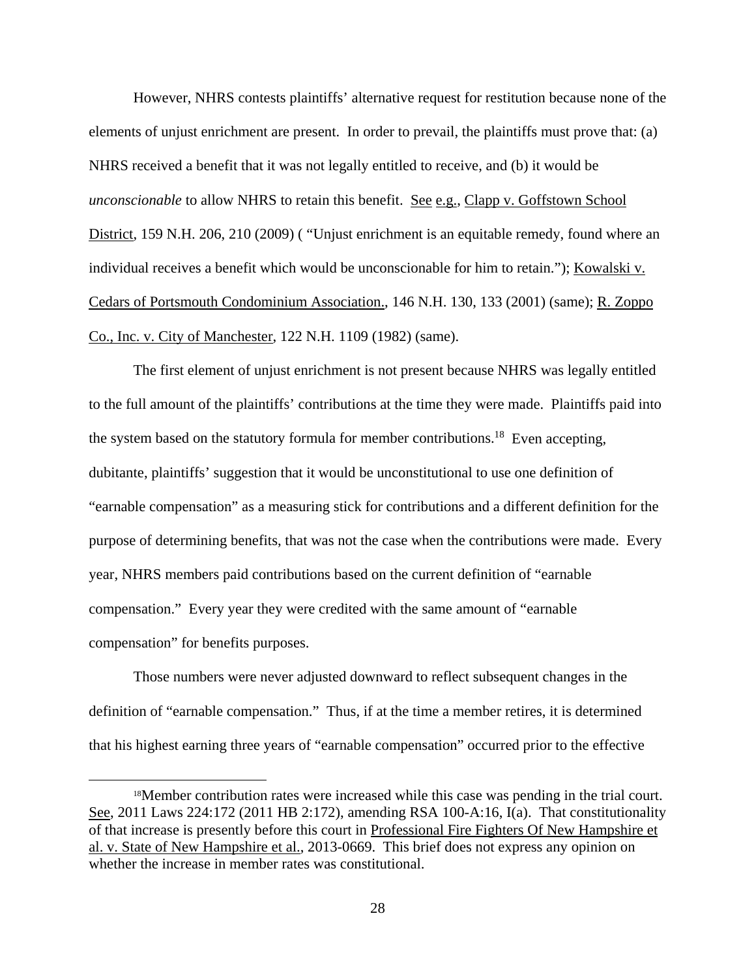However, NHRS contests plaintiffs' alternative request for restitution because none of the elements of unjust enrichment are present. In order to prevail, the plaintiffs must prove that: (a) NHRS received a benefit that it was not legally entitled to receive, and (b) it would be *unconscionable* to allow NHRS to retain this benefit. See e.g., Clapp v. Goffstown School District, 159 N.H. 206, 210 (2009) ( "Unjust enrichment is an equitable remedy, found where an individual receives a benefit which would be unconscionable for him to retain."); Kowalski v. Cedars of Portsmouth Condominium Association., 146 N.H. 130, 133 (2001) (same); R. Zoppo Co., Inc. v. City of Manchester, 122 N.H. 1109 (1982) (same).

The first element of unjust enrichment is not present because NHRS was legally entitled to the full amount of the plaintiffs' contributions at the time they were made. Plaintiffs paid into the system based on the statutory formula for member contributions.<sup>18</sup> Even accepting, dubitante, plaintiffs' suggestion that it would be unconstitutional to use one definition of "earnable compensation" as a measuring stick for contributions and a different definition for the purpose of determining benefits, that was not the case when the contributions were made. Every year, NHRS members paid contributions based on the current definition of "earnable compensation." Every year they were credited with the same amount of "earnable compensation" for benefits purposes.

Those numbers were never adjusted downward to reflect subsequent changes in the definition of "earnable compensation." Thus, if at the time a member retires, it is determined that his highest earning three years of "earnable compensation" occurred prior to the effective

 <sup>18</sup>Member contribution rates were increased while this case was pending in the trial court. See, 2011 Laws 224:172 (2011 HB 2:172), amending RSA 100-A:16, I(a). That constitutionality of that increase is presently before this court in Professional Fire Fighters Of New Hampshire et al. v. State of New Hampshire et al., 2013-0669. This brief does not express any opinion on whether the increase in member rates was constitutional.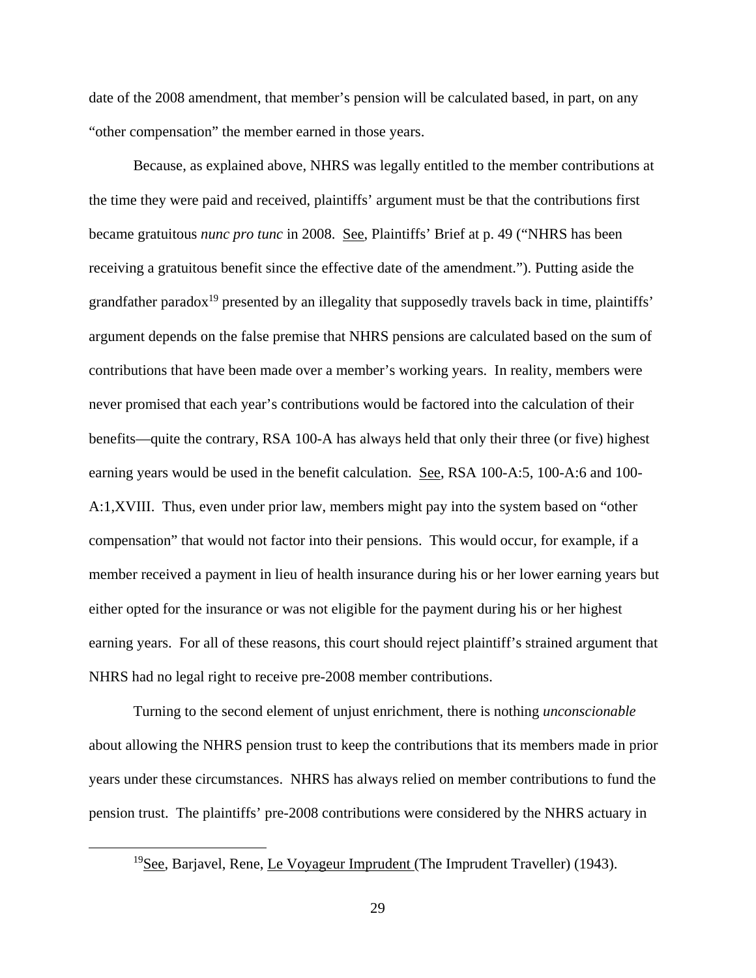date of the 2008 amendment, that member's pension will be calculated based, in part, on any "other compensation" the member earned in those years.

Because, as explained above, NHRS was legally entitled to the member contributions at the time they were paid and received, plaintiffs' argument must be that the contributions first became gratuitous *nunc pro tunc* in 2008. See, Plaintiffs' Brief at p. 49 ("NHRS has been receiving a gratuitous benefit since the effective date of the amendment."). Putting aside the grandfather paradox<sup>19</sup> presented by an illegality that supposedly travels back in time, plaintiffs' argument depends on the false premise that NHRS pensions are calculated based on the sum of contributions that have been made over a member's working years. In reality, members were never promised that each year's contributions would be factored into the calculation of their benefits—quite the contrary, RSA 100-A has always held that only their three (or five) highest earning years would be used in the benefit calculation. See, RSA 100-A:5, 100-A:6 and 100- A:1,XVIII. Thus, even under prior law, members might pay into the system based on "other compensation" that would not factor into their pensions. This would occur, for example, if a member received a payment in lieu of health insurance during his or her lower earning years but either opted for the insurance or was not eligible for the payment during his or her highest earning years. For all of these reasons, this court should reject plaintiff's strained argument that NHRS had no legal right to receive pre-2008 member contributions.

Turning to the second element of unjust enrichment, there is nothing *unconscionable* about allowing the NHRS pension trust to keep the contributions that its members made in prior years under these circumstances. NHRS has always relied on member contributions to fund the pension trust. The plaintiffs' pre-2008 contributions were considered by the NHRS actuary in

 <sup>19</sup>See, Barjavel, Rene, Le Voyageur Imprudent (The Imprudent Traveller) (1943).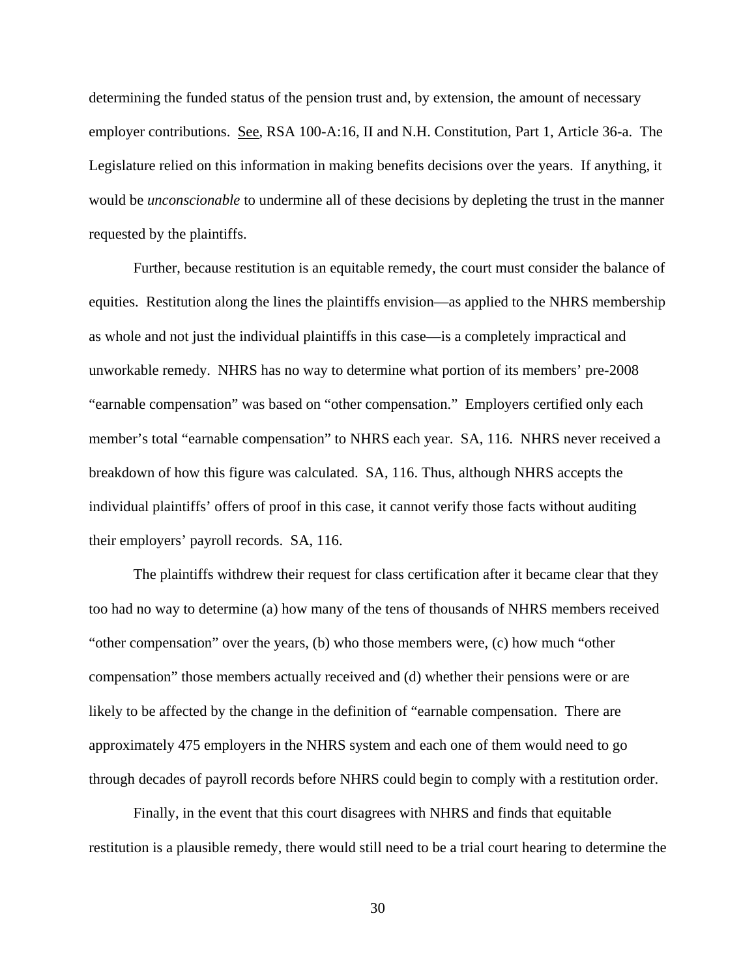determining the funded status of the pension trust and, by extension, the amount of necessary employer contributions. See, RSA 100-A:16, II and N.H. Constitution, Part 1, Article 36-a. The Legislature relied on this information in making benefits decisions over the years. If anything, it would be *unconscionable* to undermine all of these decisions by depleting the trust in the manner requested by the plaintiffs.

Further, because restitution is an equitable remedy, the court must consider the balance of equities. Restitution along the lines the plaintiffs envision—as applied to the NHRS membership as whole and not just the individual plaintiffs in this case—is a completely impractical and unworkable remedy. NHRS has no way to determine what portion of its members' pre-2008 "earnable compensation" was based on "other compensation." Employers certified only each member's total "earnable compensation" to NHRS each year. SA, 116. NHRS never received a breakdown of how this figure was calculated. SA, 116. Thus, although NHRS accepts the individual plaintiffs' offers of proof in this case, it cannot verify those facts without auditing their employers' payroll records. SA, 116.

The plaintiffs withdrew their request for class certification after it became clear that they too had no way to determine (a) how many of the tens of thousands of NHRS members received "other compensation" over the years, (b) who those members were, (c) how much "other compensation" those members actually received and (d) whether their pensions were or are likely to be affected by the change in the definition of "earnable compensation. There are approximately 475 employers in the NHRS system and each one of them would need to go through decades of payroll records before NHRS could begin to comply with a restitution order.

Finally, in the event that this court disagrees with NHRS and finds that equitable restitution is a plausible remedy, there would still need to be a trial court hearing to determine the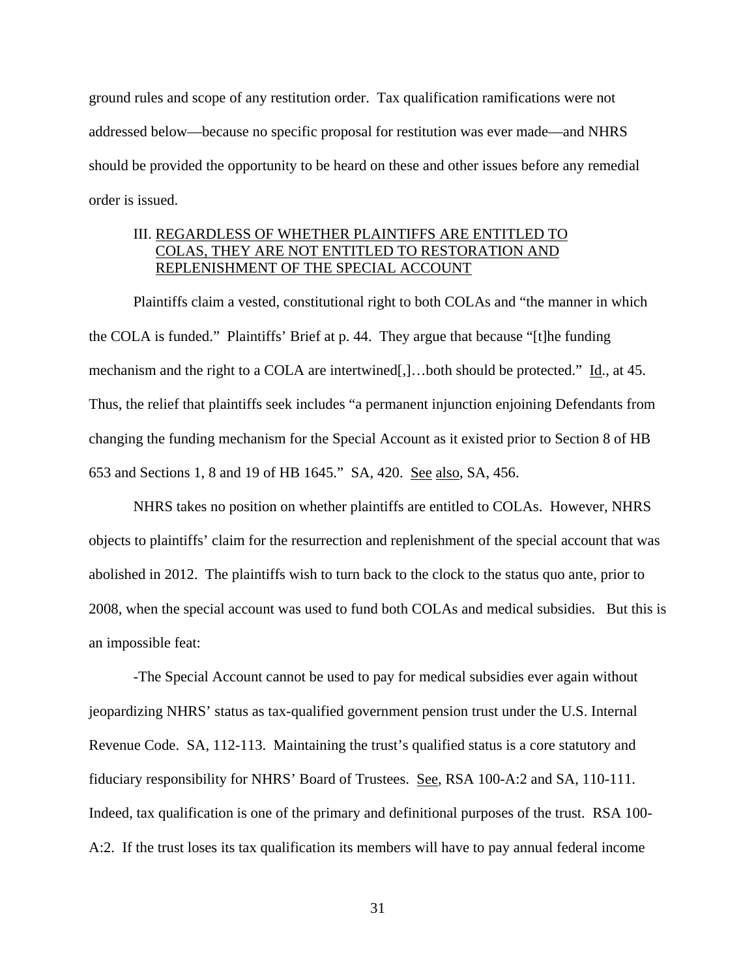ground rules and scope of any restitution order. Tax qualification ramifications were not addressed below—because no specific proposal for restitution was ever made—and NHRS should be provided the opportunity to be heard on these and other issues before any remedial order is issued.

## III. REGARDLESS OF WHETHER PLAINTIFFS ARE ENTITLED TO COLAS, THEY ARE NOT ENTITLED TO RESTORATION AND REPLENISHMENT OF THE SPECIAL ACCOUNT

Plaintiffs claim a vested, constitutional right to both COLAs and "the manner in which the COLA is funded." Plaintiffs' Brief at p. 44. They argue that because "[t]he funding mechanism and the right to a COLA are intertwined[,]…both should be protected." Id., at 45. Thus, the relief that plaintiffs seek includes "a permanent injunction enjoining Defendants from changing the funding mechanism for the Special Account as it existed prior to Section 8 of HB 653 and Sections 1, 8 and 19 of HB 1645." SA, 420. See also, SA, 456.

NHRS takes no position on whether plaintiffs are entitled to COLAs. However, NHRS objects to plaintiffs' claim for the resurrection and replenishment of the special account that was abolished in 2012. The plaintiffs wish to turn back to the clock to the status quo ante, prior to 2008, when the special account was used to fund both COLAs and medical subsidies. But this is an impossible feat:

 -The Special Account cannot be used to pay for medical subsidies ever again without jeopardizing NHRS' status as tax-qualified government pension trust under the U.S. Internal Revenue Code. SA, 112-113. Maintaining the trust's qualified status is a core statutory and fiduciary responsibility for NHRS' Board of Trustees. See, RSA 100-A:2 and SA, 110-111. Indeed, tax qualification is one of the primary and definitional purposes of the trust. RSA 100- A:2. If the trust loses its tax qualification its members will have to pay annual federal income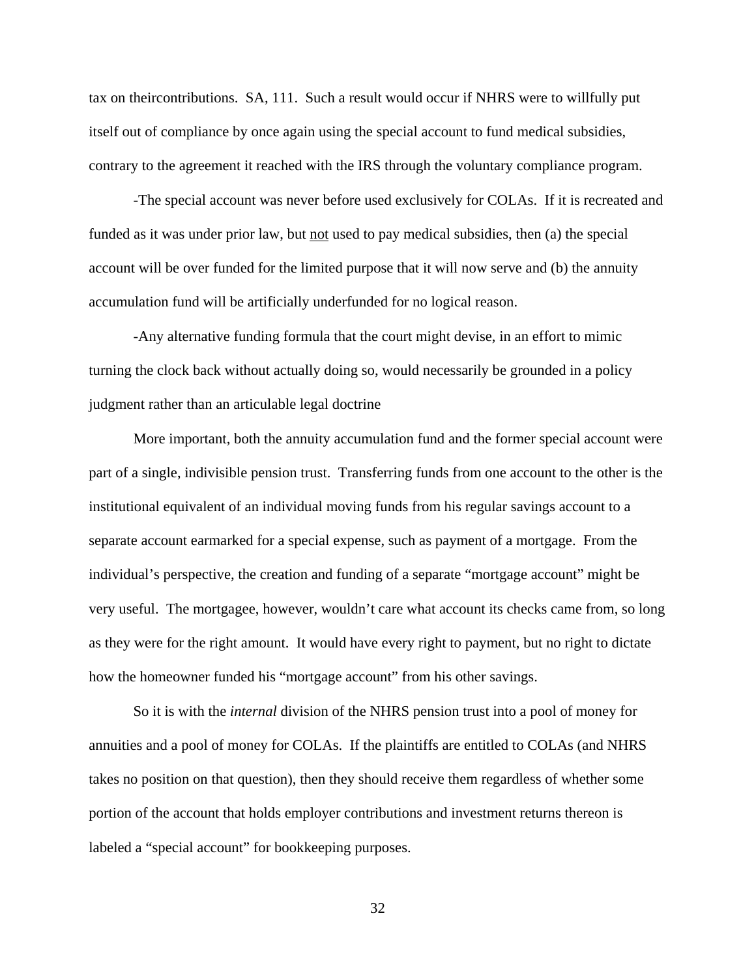tax on theircontributions. SA, 111. Such a result would occur if NHRS were to willfully put itself out of compliance by once again using the special account to fund medical subsidies, contrary to the agreement it reached with the IRS through the voluntary compliance program.

 -The special account was never before used exclusively for COLAs. If it is recreated and funded as it was under prior law, but not used to pay medical subsidies, then (a) the special account will be over funded for the limited purpose that it will now serve and (b) the annuity accumulation fund will be artificially underfunded for no logical reason.

 -Any alternative funding formula that the court might devise, in an effort to mimic turning the clock back without actually doing so, would necessarily be grounded in a policy judgment rather than an articulable legal doctrine

More important, both the annuity accumulation fund and the former special account were part of a single, indivisible pension trust. Transferring funds from one account to the other is the institutional equivalent of an individual moving funds from his regular savings account to a separate account earmarked for a special expense, such as payment of a mortgage. From the individual's perspective, the creation and funding of a separate "mortgage account" might be very useful. The mortgagee, however, wouldn't care what account its checks came from, so long as they were for the right amount. It would have every right to payment, but no right to dictate how the homeowner funded his "mortgage account" from his other savings.

So it is with the *internal* division of the NHRS pension trust into a pool of money for annuities and a pool of money for COLAs. If the plaintiffs are entitled to COLAs (and NHRS takes no position on that question), then they should receive them regardless of whether some portion of the account that holds employer contributions and investment returns thereon is labeled a "special account" for bookkeeping purposes.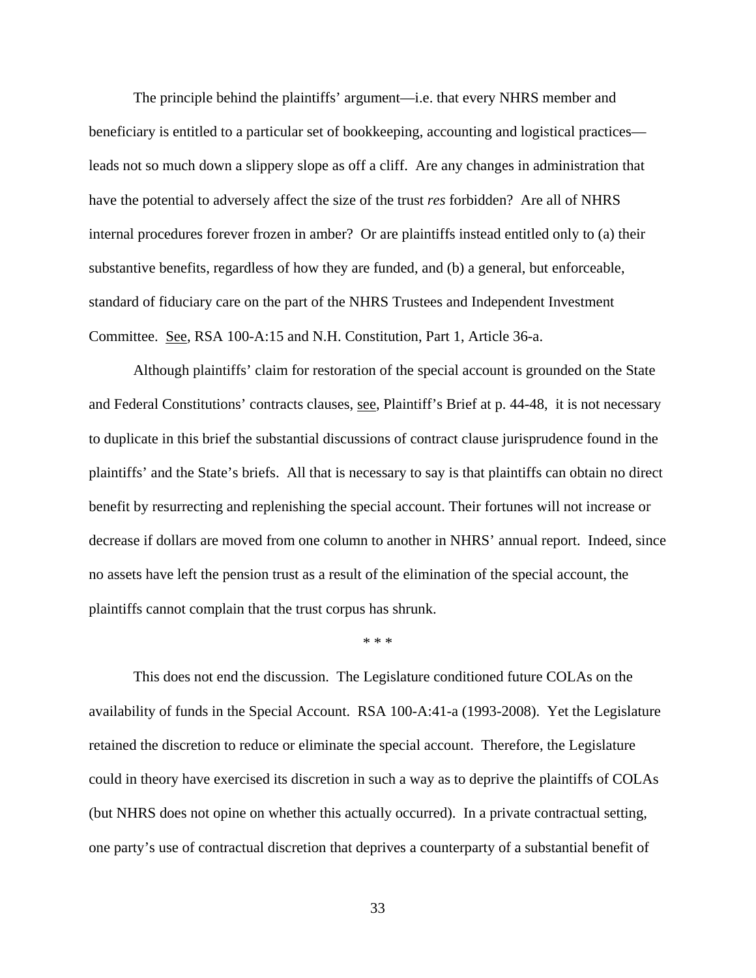The principle behind the plaintiffs' argument—i.e. that every NHRS member and beneficiary is entitled to a particular set of bookkeeping, accounting and logistical practices leads not so much down a slippery slope as off a cliff. Are any changes in administration that have the potential to adversely affect the size of the trust *res* forbidden? Are all of NHRS internal procedures forever frozen in amber? Or are plaintiffs instead entitled only to (a) their substantive benefits, regardless of how they are funded, and (b) a general, but enforceable, standard of fiduciary care on the part of the NHRS Trustees and Independent Investment Committee. See, RSA 100-A:15 and N.H. Constitution, Part 1, Article 36-a.

Although plaintiffs' claim for restoration of the special account is grounded on the State and Federal Constitutions' contracts clauses, see, Plaintiff's Brief at p. 44-48, it is not necessary to duplicate in this brief the substantial discussions of contract clause jurisprudence found in the plaintiffs' and the State's briefs. All that is necessary to say is that plaintiffs can obtain no direct benefit by resurrecting and replenishing the special account. Their fortunes will not increase or decrease if dollars are moved from one column to another in NHRS' annual report. Indeed, since no assets have left the pension trust as a result of the elimination of the special account, the plaintiffs cannot complain that the trust corpus has shrunk.

#### \* \* \*

This does not end the discussion. The Legislature conditioned future COLAs on the availability of funds in the Special Account. RSA 100-A:41-a (1993-2008). Yet the Legislature retained the discretion to reduce or eliminate the special account. Therefore, the Legislature could in theory have exercised its discretion in such a way as to deprive the plaintiffs of COLAs (but NHRS does not opine on whether this actually occurred). In a private contractual setting, one party's use of contractual discretion that deprives a counterparty of a substantial benefit of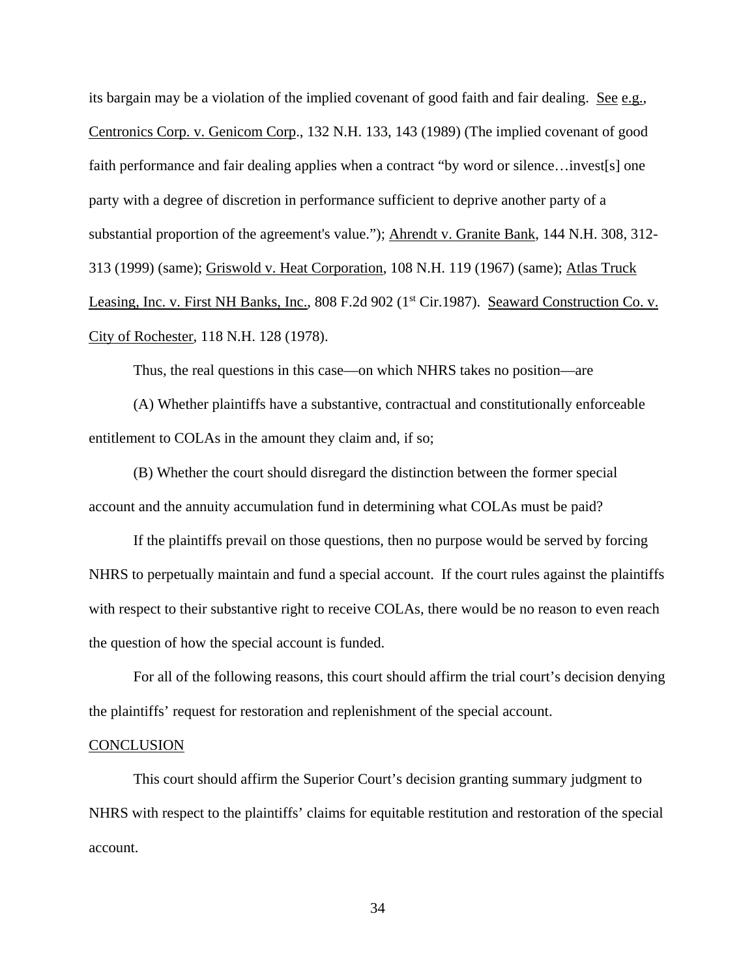its bargain may be a violation of the implied covenant of good faith and fair dealing. See e.g., Centronics Corp. v. Genicom Corp., 132 N.H. 133, 143 (1989) (The implied covenant of good faith performance and fair dealing applies when a contract "by word or silence...invest[s] one party with a degree of discretion in performance sufficient to deprive another party of a substantial proportion of the agreement's value."); Ahrendt v. Granite Bank, 144 N.H. 308, 312- 313 (1999) (same); Griswold v. Heat Corporation, 108 N.H. 119 (1967) (same); Atlas Truck Leasing, Inc. v. First NH Banks, Inc., 808 F.2d 902 (1<sup>st</sup> Cir.1987). Seaward Construction Co. v. City of Rochester, 118 N.H. 128 (1978).

Thus, the real questions in this case—on which NHRS takes no position—are

 (A) Whether plaintiffs have a substantive, contractual and constitutionally enforceable entitlement to COLAs in the amount they claim and, if so;

 (B) Whether the court should disregard the distinction between the former special account and the annuity accumulation fund in determining what COLAs must be paid?

 If the plaintiffs prevail on those questions, then no purpose would be served by forcing NHRS to perpetually maintain and fund a special account. If the court rules against the plaintiffs with respect to their substantive right to receive COLAs, there would be no reason to even reach the question of how the special account is funded.

 For all of the following reasons, this court should affirm the trial court's decision denying the plaintiffs' request for restoration and replenishment of the special account.

#### **CONCLUSION**

 This court should affirm the Superior Court's decision granting summary judgment to NHRS with respect to the plaintiffs' claims for equitable restitution and restoration of the special account.